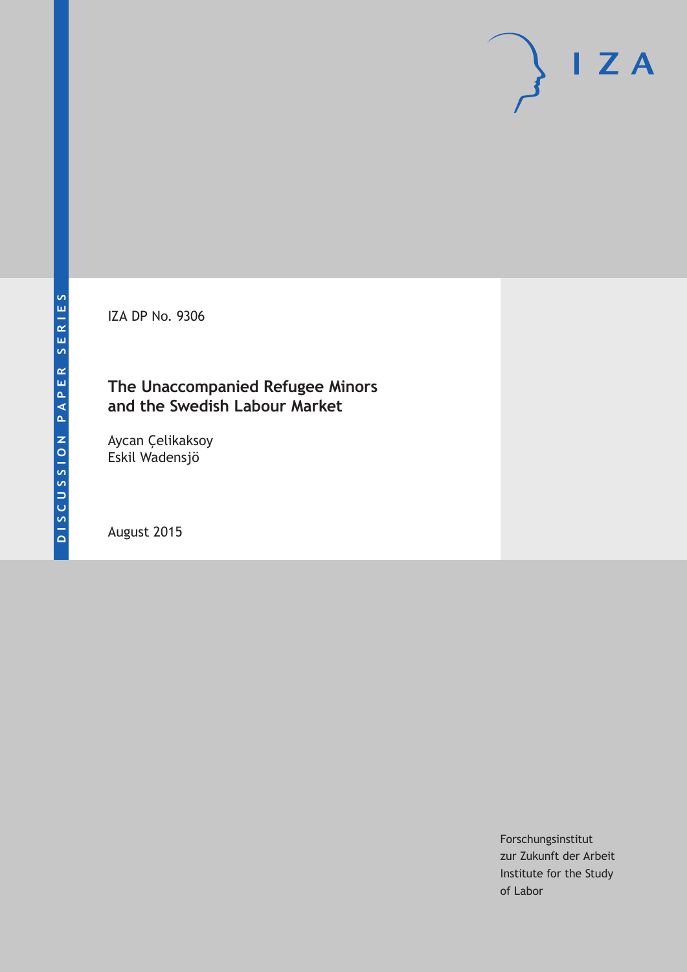IZA DP No. 9306

### **The Unaccompanied Refugee Minors and the Swedish Labour Market**

Aycan Çelikaksoy Eskil Wadensjö

August 2015

Forschungsinstitut zur Zukunft der Arbeit Institute for the Study of Labor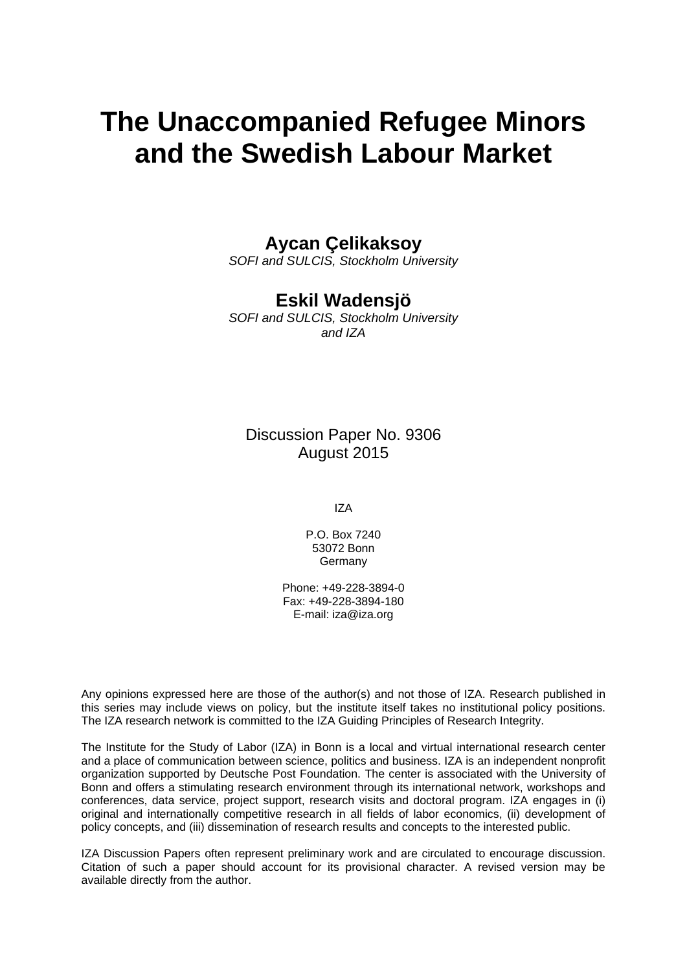# **The Unaccompanied Refugee Minors and the Swedish Labour Market**

### **Aycan Çelikaksoy**

*SOFI and SULCIS, Stockholm University* 

### **Eskil Wadensjö**

*SOFI and SULCIS, Stockholm University and IZA* 

Discussion Paper No. 9306 August 2015

IZA

P.O. Box 7240 53072 Bonn **Germany** 

Phone: +49-228-3894-0 Fax: +49-228-3894-180 E-mail: iza@iza.org

Any opinions expressed here are those of the author(s) and not those of IZA. Research published in this series may include views on policy, but the institute itself takes no institutional policy positions. The IZA research network is committed to the IZA Guiding Principles of Research Integrity.

The Institute for the Study of Labor (IZA) in Bonn is a local and virtual international research center and a place of communication between science, politics and business. IZA is an independent nonprofit organization supported by Deutsche Post Foundation. The center is associated with the University of Bonn and offers a stimulating research environment through its international network, workshops and conferences, data service, project support, research visits and doctoral program. IZA engages in (i) original and internationally competitive research in all fields of labor economics, (ii) development of policy concepts, and (iii) dissemination of research results and concepts to the interested public.

IZA Discussion Papers often represent preliminary work and are circulated to encourage discussion. Citation of such a paper should account for its provisional character. A revised version may be available directly from the author.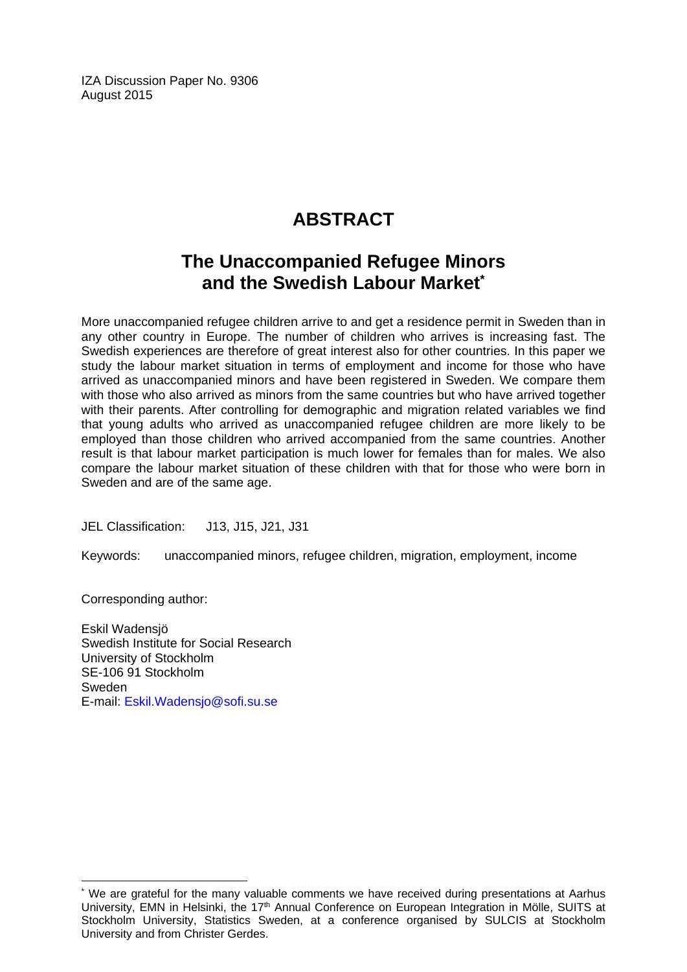IZA Discussion Paper No. 9306 August 2015

## **ABSTRACT**

### **The Unaccompanied Refugee Minors and the Swedish Labour Market\***

More unaccompanied refugee children arrive to and get a residence permit in Sweden than in any other country in Europe. The number of children who arrives is increasing fast. The Swedish experiences are therefore of great interest also for other countries. In this paper we study the labour market situation in terms of employment and income for those who have arrived as unaccompanied minors and have been registered in Sweden. We compare them with those who also arrived as minors from the same countries but who have arrived together with their parents. After controlling for demographic and migration related variables we find that young adults who arrived as unaccompanied refugee children are more likely to be employed than those children who arrived accompanied from the same countries. Another result is that labour market participation is much lower for females than for males. We also compare the labour market situation of these children with that for those who were born in Sweden and are of the same age.

JEL Classification: J13, J15, J21, J31

Keywords: unaccompanied minors, refugee children, migration, employment, income

Corresponding author:

 $\overline{\phantom{a}}$ 

Eskil Wadensjö Swedish Institute for Social Research University of Stockholm SE-106 91 Stockholm Sweden E-mail: Eskil.Wadensjo@sofi.su.se

<sup>\*</sup> We are grateful for the many valuable comments we have received during presentations at Aarhus University, EMN in Helsinki, the 17<sup>th</sup> Annual Conference on European Integration in Mölle, SUITS at Stockholm University, Statistics Sweden, at a conference organised by SULCIS at Stockholm University and from Christer Gerdes.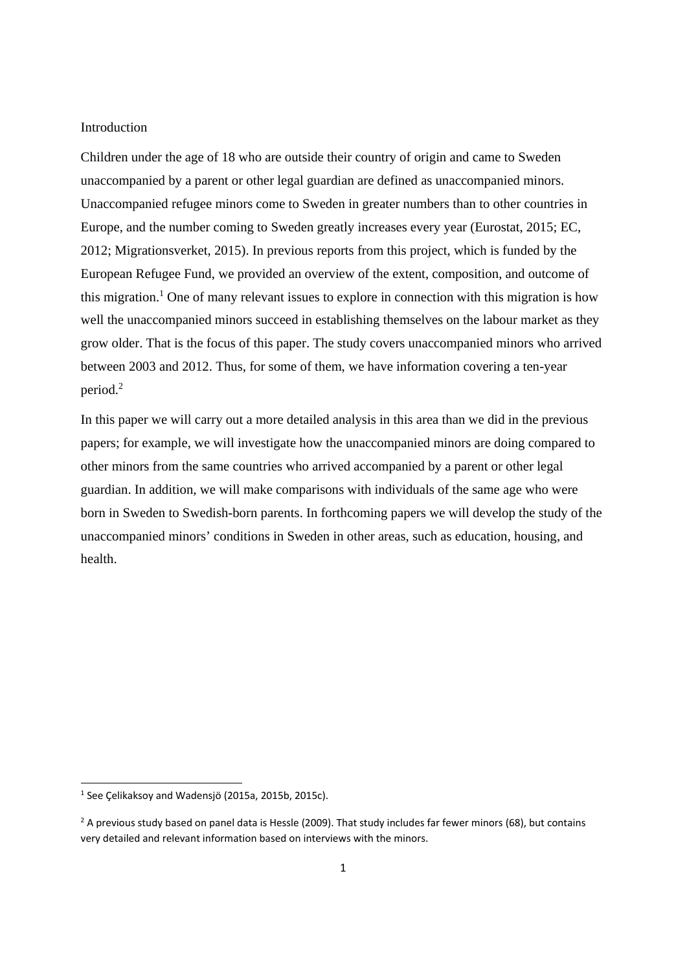#### **Introduction**

Children under the age of 18 who are outside their country of origin and came to Sweden unaccompanied by a parent or other legal guardian are defined as unaccompanied minors. Unaccompanied refugee minors come to Sweden in greater numbers than to other countries in Europe, and the number coming to Sweden greatly increases every year (Eurostat, 2015; EC, 2012; Migrationsverket, 2015). In previous reports from this project, which is funded by the European Refugee Fund, we provided an overview of the extent, composition, and outcome of this migration.<sup>1</sup> One of many relevant issues to explore in connection with this migration is how well the unaccompanied minors succeed in establishing themselves on the labour market as they grow older. That is the focus of this paper. The study covers unaccompanied minors who arrived between 2003 and 2012. Thus, for some of them, we have information covering a ten-year period.<sup>2</sup>

In this paper we will carry out a more detailed analysis in this area than we did in the previous papers; for example, we will investigate how the unaccompanied minors are doing compared to other minors from the same countries who arrived accompanied by a parent or other legal guardian. In addition, we will make comparisons with individuals of the same age who were born in Sweden to Swedish-born parents. In forthcoming papers we will develop the study of the unaccompanied minors' conditions in Sweden in other areas, such as education, housing, and health.

<sup>1</sup> See Çelikaksoy and Wadensjö (2015a, 2015b, 2015c).

 $<sup>2</sup>$  A previous study based on panel data is Hessle (2009). That study includes far fewer minors (68), but contains</sup> very detailed and relevant information based on interviews with the minors.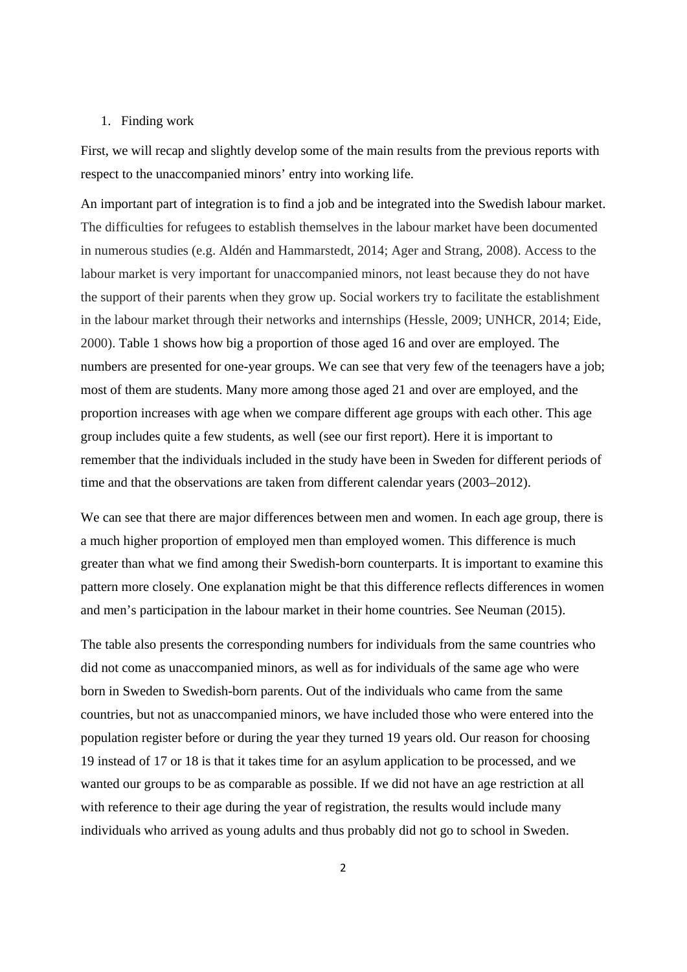#### 1. Finding work

First, we will recap and slightly develop some of the main results from the previous reports with respect to the unaccompanied minors' entry into working life.

An important part of integration is to find a job and be integrated into the Swedish labour market. The difficulties for refugees to establish themselves in the labour market have been documented in numerous studies (e.g. Aldén and Hammarstedt, 2014; Ager and Strang, 2008). Access to the labour market is very important for unaccompanied minors, not least because they do not have the support of their parents when they grow up. Social workers try to facilitate the establishment in the labour market through their networks and internships (Hessle, 2009; UNHCR, 2014; Eide, 2000). Table 1 shows how big a proportion of those aged 16 and over are employed. The numbers are presented for one-year groups. We can see that very few of the teenagers have a job; most of them are students. Many more among those aged 21 and over are employed, and the proportion increases with age when we compare different age groups with each other. This age group includes quite a few students, as well (see our first report). Here it is important to remember that the individuals included in the study have been in Sweden for different periods of time and that the observations are taken from different calendar years (2003–2012).

We can see that there are major differences between men and women. In each age group, there is a much higher proportion of employed men than employed women. This difference is much greater than what we find among their Swedish-born counterparts. It is important to examine this pattern more closely. One explanation might be that this difference reflects differences in women and men's participation in the labour market in their home countries. See Neuman (2015).

The table also presents the corresponding numbers for individuals from the same countries who did not come as unaccompanied minors, as well as for individuals of the same age who were born in Sweden to Swedish-born parents. Out of the individuals who came from the same countries, but not as unaccompanied minors, we have included those who were entered into the population register before or during the year they turned 19 years old. Our reason for choosing 19 instead of 17 or 18 is that it takes time for an asylum application to be processed, and we wanted our groups to be as comparable as possible. If we did not have an age restriction at all with reference to their age during the year of registration, the results would include many individuals who arrived as young adults and thus probably did not go to school in Sweden.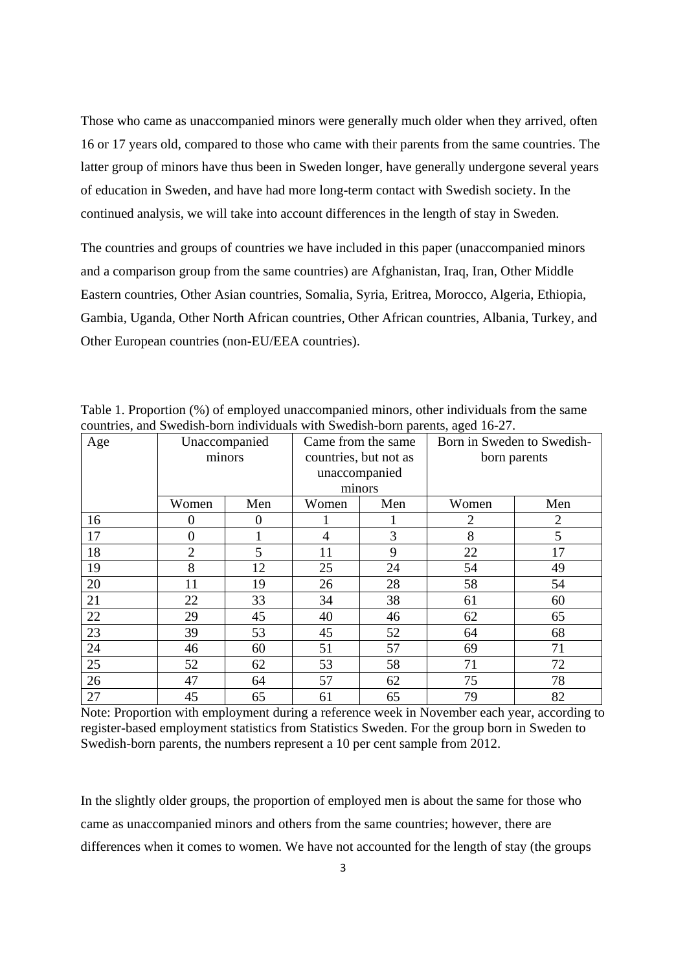Those who came as unaccompanied minors were generally much older when they arrived, often 16 or 17 years old, compared to those who came with their parents from the same countries. The latter group of minors have thus been in Sweden longer, have generally undergone several years of education in Sweden, and have had more long-term contact with Swedish society. In the continued analysis, we will take into account differences in the length of stay in Sweden.

The countries and groups of countries we have included in this paper (unaccompanied minors and a comparison group from the same countries) are Afghanistan, Iraq, Iran, Other Middle Eastern countries, Other Asian countries, Somalia, Syria, Eritrea, Morocco, Algeria, Ethiopia, Gambia, Uganda, Other North African countries, Other African countries, Albania, Turkey, and Other European countries (non-EU/EEA countries).

| Age | Unaccompanied  |          |                       | Came from the same | Born in Sweden to Swedish- |                |
|-----|----------------|----------|-----------------------|--------------------|----------------------------|----------------|
|     |                | minors   | countries, but not as |                    | born parents               |                |
|     |                |          | unaccompanied         |                    |                            |                |
|     |                |          |                       | minors             |                            |                |
|     | Women          | Men      | Women                 | Men                | Women                      | Men            |
| 16  | 0              | $\theta$ |                       |                    | 2                          | $\overline{2}$ |
| 17  | $\Omega$       |          | 4                     | 3                  | 8                          | 5              |
| 18  | $\overline{2}$ | 5        | 11                    | 9                  | 22                         | 17             |
| 19  | 8              | 12       | 25                    | 24                 | 54                         | 49             |
| 20  | 11             | 19       | 26                    | 28                 | 58                         | 54             |
| 21  | 22             | 33       | 34                    | 38                 | 61                         | 60             |
| 22  | 29             | 45       | 40                    | 46                 | 62                         | 65             |
| 23  | 39             | 53       | 45                    | 52                 | 64                         | 68             |
| 24  | 46             | 60       | 51                    | 57                 | 69                         | 71             |
| 25  | 52             | 62       | 53                    | 58                 | 71                         | 72             |
| 26  | 47             | 64       | 57                    | 62                 | 75                         | 78             |
| 27  | 45             | 65       | 61                    | 65                 | 79                         | 82             |

Table 1. Proportion (%) of employed unaccompanied minors, other individuals from the same countries, and Swedish-born individuals with Swedish-born parents, aged 16-27.

Note: Proportion with employment during a reference week in November each year, according to register-based employment statistics from Statistics Sweden. For the group born in Sweden to Swedish-born parents, the numbers represent a 10 per cent sample from 2012.

In the slightly older groups, the proportion of employed men is about the same for those who came as unaccompanied minors and others from the same countries; however, there are differences when it comes to women. We have not accounted for the length of stay (the groups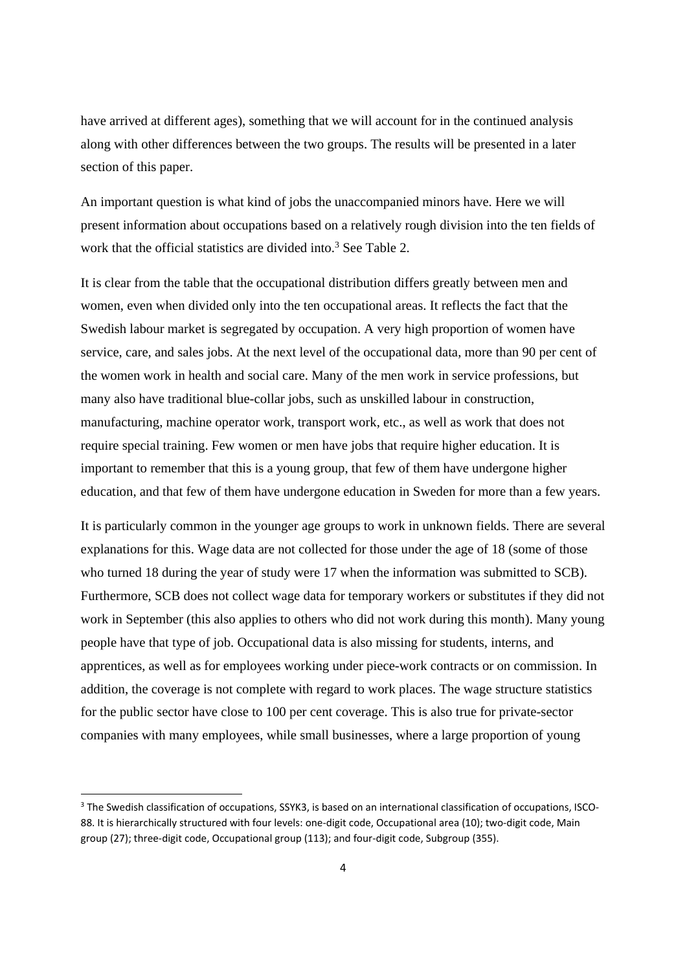have arrived at different ages), something that we will account for in the continued analysis along with other differences between the two groups. The results will be presented in a later section of this paper.

An important question is what kind of jobs the unaccompanied minors have. Here we will present information about occupations based on a relatively rough division into the ten fields of work that the official statistics are divided into.<sup>3</sup> See Table 2.

It is clear from the table that the occupational distribution differs greatly between men and women, even when divided only into the ten occupational areas. It reflects the fact that the Swedish labour market is segregated by occupation. A very high proportion of women have service, care, and sales jobs. At the next level of the occupational data, more than 90 per cent of the women work in health and social care. Many of the men work in service professions, but many also have traditional blue-collar jobs, such as unskilled labour in construction, manufacturing, machine operator work, transport work, etc., as well as work that does not require special training. Few women or men have jobs that require higher education. It is important to remember that this is a young group, that few of them have undergone higher education, and that few of them have undergone education in Sweden for more than a few years.

It is particularly common in the younger age groups to work in unknown fields. There are several explanations for this. Wage data are not collected for those under the age of 18 (some of those who turned 18 during the year of study were 17 when the information was submitted to SCB). Furthermore, SCB does not collect wage data for temporary workers or substitutes if they did not work in September (this also applies to others who did not work during this month). Many young people have that type of job. Occupational data is also missing for students, interns, and apprentices, as well as for employees working under piece-work contracts or on commission. In addition, the coverage is not complete with regard to work places. The wage structure statistics for the public sector have close to 100 per cent coverage. This is also true for private-sector companies with many employees, while small businesses, where a large proportion of young

<sup>&</sup>lt;sup>3</sup> The Swedish classification of occupations, SSYK3, is based on an international classification of occupations, ISCO-88. It is hierarchically structured with four levels: one-digit code, Occupational area (10); two-digit code, Main group (27); three-digit code, Occupational group (113); and four-digit code, Subgroup (355).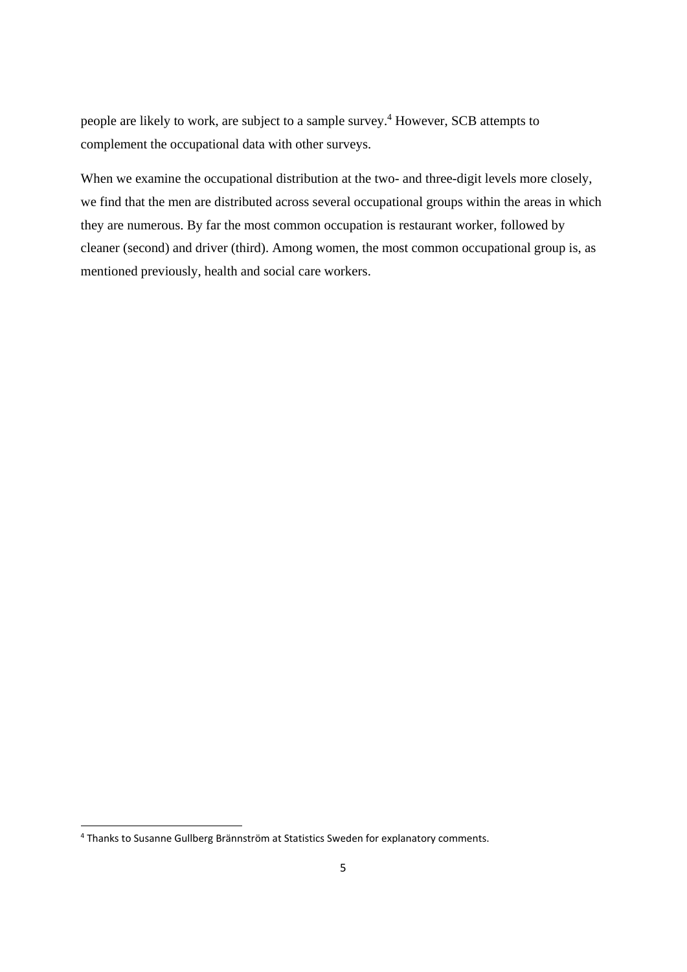people are likely to work, are subject to a sample survey.<sup>4</sup> However, SCB attempts to complement the occupational data with other surveys.

When we examine the occupational distribution at the two- and three-digit levels more closely, we find that the men are distributed across several occupational groups within the areas in which they are numerous. By far the most common occupation is restaurant worker, followed by cleaner (second) and driver (third). Among women, the most common occupational group is, as mentioned previously, health and social care workers.

<sup>4</sup> Thanks to Susanne Gullberg Brännström at Statistics Sweden for explanatory comments.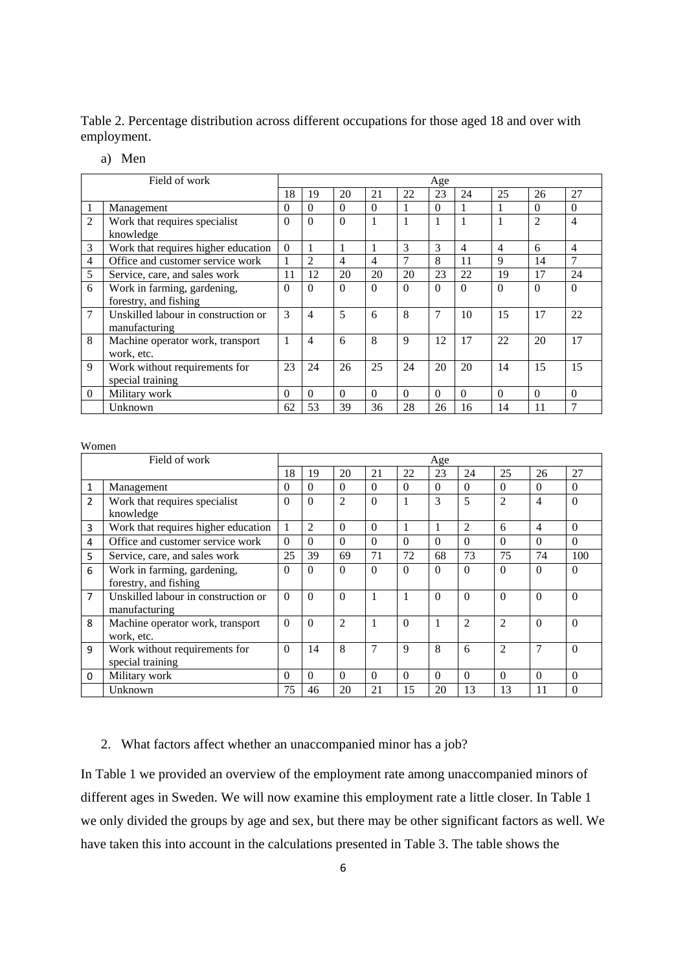Table 2. Percentage distribution across different occupations for those aged 18 and over with employment.

#### a) Men

|                | Field of work                       |          |          |                |          |          | Age      |          |                |                |                |
|----------------|-------------------------------------|----------|----------|----------------|----------|----------|----------|----------|----------------|----------------|----------------|
|                |                                     | 18       | 19       | 20             | 21       | 22       | 23       | 24       | 25             | 26             | 27             |
|                | Management                          | $\Omega$ | $\Omega$ | $\Omega$       | $\Omega$ |          | $\Omega$ |          |                | $\Omega$       | $\Omega$       |
| $\overline{c}$ | Work that requires specialist       | $\Omega$ | $\Omega$ | $\Omega$       | 1        |          |          |          |                | $\overline{2}$ | 4              |
|                | knowledge                           |          |          |                |          |          |          |          |                |                |                |
| 3              | Work that requires higher education | $\Omega$ |          |                |          | 3        | 3        | 4        | $\overline{4}$ | 6              | 4              |
| 4              | Office and customer service work    |          | 2        | $\overline{4}$ | 4        | 7        | 8        | 11       | 9              | 14             | $\overline{7}$ |
| 5              | Service, care, and sales work       | 11       | 12       | 20             | 20       | 20       | 23       | 22       | 19             | 17             | 24             |
| 6              | Work in farming, gardening,         | $\Omega$ | $\Omega$ | $\Omega$       | $\Omega$ | $\Omega$ | $\Omega$ | 0        | $\Omega$       | $\Omega$       | $\Omega$       |
|                | forestry, and fishing               |          |          |                |          |          |          |          |                |                |                |
| 7              | Unskilled labour in construction or | 3        | 4        | 5              | 6        | 8        | 7        | 10       | 15             | 17             | 22             |
|                | manufacturing                       |          |          |                |          |          |          |          |                |                |                |
| 8              | Machine operator work, transport    |          | 4        | 6              | 8        | 9        | 12       | 17       | 22             | 20             | 17             |
|                | work, etc.                          |          |          |                |          |          |          |          |                |                |                |
| 9              | Work without requirements for       | 23       | 24       | 26             | 25       | 24       | 20       | 20       | 14             | 15             | 15             |
|                | special training                    |          |          |                |          |          |          |          |                |                |                |
| $\Omega$       | Military work                       | $\Omega$ | $\Omega$ | $\Omega$       | $\Omega$ | $\Omega$ | $\Omega$ | $\Omega$ | $\Omega$       | $\Omega$       | $\Omega$       |
|                | Unknown                             | 62       | 53       | 39             | 36       | 28       | 26       | 16       | 14             | 11             |                |

#### Women

|                | Field of work                                        |          |          |                |          |             | Age      |                |                |                |          |
|----------------|------------------------------------------------------|----------|----------|----------------|----------|-------------|----------|----------------|----------------|----------------|----------|
|                |                                                      | 18       | 19       | 20             | 21       | 22          | 23       | 24             | 25             | 26             | 27       |
| 1              | Management                                           | 0        | $\Omega$ | $\Omega$       | $\Omega$ | $\Omega$    | $\Omega$ | $\Omega$       | $\Omega$       | $\Omega$       | $\Omega$ |
| 2              | Work that requires specialist<br>knowledge           | $\Omega$ | $\theta$ | $\overline{2}$ | $\Omega$ |             | 3        | 5              | $\overline{2}$ | $\overline{4}$ | $\Omega$ |
| 3              | Work that requires higher education                  |          | 2        | $\Omega$       | $\Omega$ |             | 1        | $\mathfrak{D}$ | 6              | $\overline{4}$ | $\Omega$ |
| 4              | Office and customer service work                     | $\Omega$ | 0        | $\Omega$       | $\Omega$ | $\Omega$    | $\Omega$ | $\Omega$       | $\Omega$       | $\Omega$       | $\Omega$ |
| 5              | Service, care, and sales work                        | 25       | 39       | 69             | 71       | 72          | 68       | 73             | 75             | 74             | 100      |
| 6              | Work in farming, gardening,<br>forestry, and fishing | $\Omega$ | $\Omega$ | $\Omega$       | $\Omega$ | $\Omega$    | $\Omega$ | $\Omega$       | $\Omega$       | $\Omega$       | $\Omega$ |
| $\overline{7}$ | Unskilled labour in construction or<br>manufacturing | $\Omega$ | $\Omega$ | $\Omega$       |          |             | $\Omega$ | $\Omega$       | $\Omega$       | $\Omega$       | $\Omega$ |
| 8              | Machine operator work, transport<br>work, etc.       | $\Omega$ | $\Omega$ | $\overline{2}$ |          | $\Omega$    |          | $\overline{2}$ | $\overline{2}$ | $\Omega$       | $\Omega$ |
| 9              | Work without requirements for<br>special training    | $\Omega$ | 14       | 8              | 7        | $\mathbf Q$ | 8        | 6              | $\overline{2}$ | $\overline{7}$ | $\Omega$ |
| $\Omega$       | Military work                                        | $\Omega$ | $\Omega$ | $\Omega$       | $\Omega$ | $\Omega$    | $\Omega$ | $\Omega$       | $\Omega$       | $\Omega$       | $\Omega$ |
|                | Unknown                                              | 75       | 46       | 20             | 21       | 15          | 20       | 13             | 13             | 11             | $\Omega$ |

#### 2. What factors affect whether an unaccompanied minor has a job?

In Table 1 we provided an overview of the employment rate among unaccompanied minors of different ages in Sweden. We will now examine this employment rate a little closer. In Table 1 we only divided the groups by age and sex, but there may be other significant factors as well. We have taken this into account in the calculations presented in Table 3. The table shows the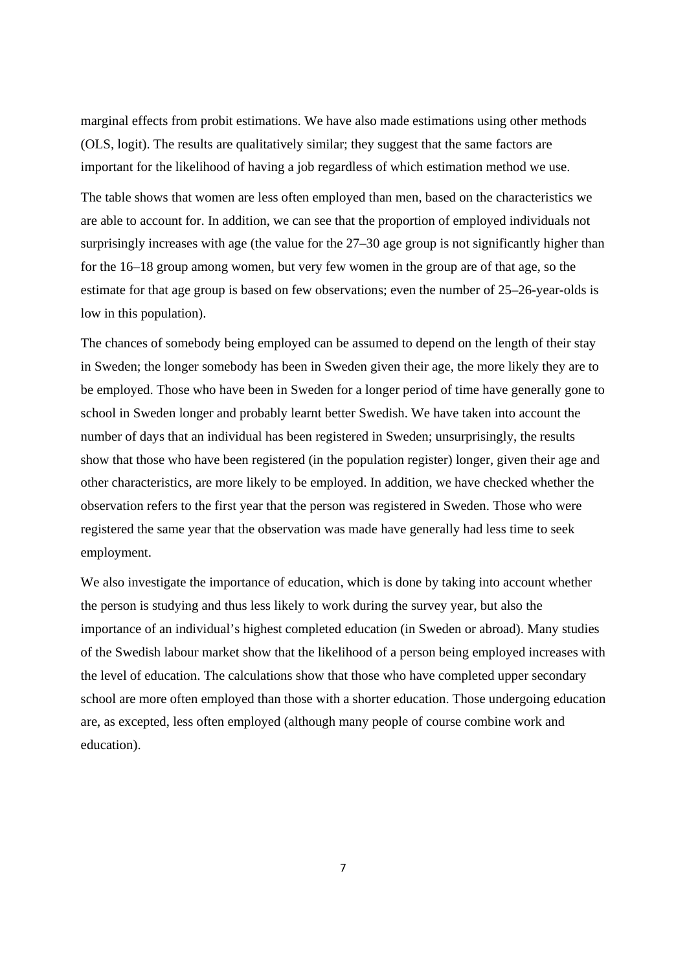marginal effects from probit estimations. We have also made estimations using other methods (OLS, logit). The results are qualitatively similar; they suggest that the same factors are important for the likelihood of having a job regardless of which estimation method we use.

The table shows that women are less often employed than men, based on the characteristics we are able to account for. In addition, we can see that the proportion of employed individuals not surprisingly increases with age (the value for the 27–30 age group is not significantly higher than for the 16–18 group among women, but very few women in the group are of that age, so the estimate for that age group is based on few observations; even the number of 25–26-year-olds is low in this population).

The chances of somebody being employed can be assumed to depend on the length of their stay in Sweden; the longer somebody has been in Sweden given their age, the more likely they are to be employed. Those who have been in Sweden for a longer period of time have generally gone to school in Sweden longer and probably learnt better Swedish. We have taken into account the number of days that an individual has been registered in Sweden; unsurprisingly, the results show that those who have been registered (in the population register) longer, given their age and other characteristics, are more likely to be employed. In addition, we have checked whether the observation refers to the first year that the person was registered in Sweden. Those who were registered the same year that the observation was made have generally had less time to seek employment.

We also investigate the importance of education, which is done by taking into account whether the person is studying and thus less likely to work during the survey year, but also the importance of an individual's highest completed education (in Sweden or abroad). Many studies of the Swedish labour market show that the likelihood of a person being employed increases with the level of education. The calculations show that those who have completed upper secondary school are more often employed than those with a shorter education. Those undergoing education are, as excepted, less often employed (although many people of course combine work and education).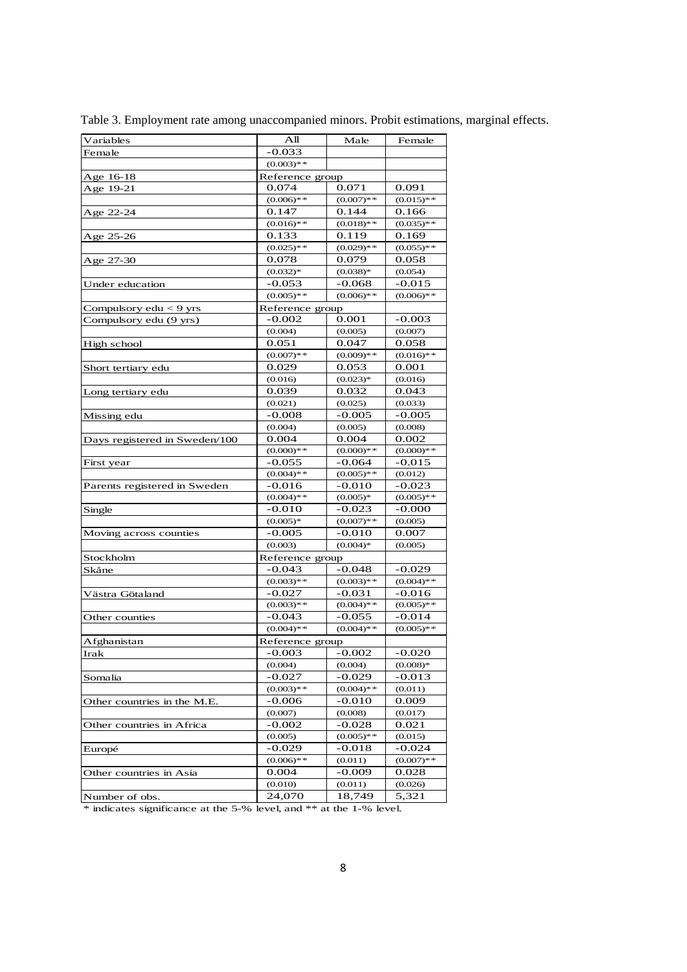| Variables                     | Аll             | Male         | Female       |
|-------------------------------|-----------------|--------------|--------------|
| Female                        | -0.033          |              |              |
|                               | $(0.003)**$     |              |              |
| Age 16-18                     | Reference group |              |              |
| Age 19-21                     | 0.074           | 0.071        | 0.091        |
|                               | $(0.006)**$     | $(0.007)**$  | $(0.015)**$  |
| Age 22-24                     | 0.147           | 0.144        | 0.166        |
|                               | $(0.016)**$     | $(0.018)**$  | $(0.035)$ ** |
| Age 25-26                     | 0.133           | 0.119        | 0.169        |
|                               | $(0.025)**$     | $(0.029)**$  | $(0.055)**$  |
| Age 27-30                     | 0.078           | 0.079        | 0.058        |
|                               | $(0.032)*$      | $(0.038)*$   | (0.054)      |
| Under education               | $-0.053$        | -0.068       | -0.015       |
|                               | $(0.005)$ **    | $(0.006)**$  | $(0.006)$ ** |
| Compulsory $edu < 9$ yrs      | Reference group |              |              |
| Compulsory edu (9 yrs)        | -0.002          | 0.001        | -0.003       |
|                               | (0.004)         | (0.005)      | (0.007)      |
| High school                   | 0.051           | 0.047        | 0.058        |
|                               | $(0.007)$ **    | $(0.009)**$  | $(0.016)**$  |
| Short tertiary edu            | 0.029           | 0.053        | 0.001        |
|                               | (0.016)         | $(0.023)*$   | (0.016)      |
| Long tertiary edu             | 0.039           | 0.032        | 0.043        |
|                               | (0.021)         | (0.025)      | (0.033)      |
| Missing edu                   | $-0.008$        | $-0.005$     | -0.005       |
|                               | (0.004)         | (0.005)      | (0.008)      |
| Days registered in Sweden/100 | 0.004           | 0.004        | 0.002        |
|                               | $(0.000)**$     | $(0.000)**$  | $(0.000)**$  |
| First year                    | $-0.055$        | $-0.064$     | $-0.015$     |
|                               | $(0.004)$ **    | $(0.005)**$  | (0.012)      |
| Parents registered in Sweden  | $-0.016$        | -0.010       | -0.023       |
|                               | $(0.004)$ **    | $(0.005)*$   | $(0.005)**$  |
| Single                        | $-0.010$        | $-0.023$     | $-0.000$     |
|                               | $(0.005)*$      | $(0.007)**$  | (0.005)      |
| Moving across counties        | $-0.005$        | $-0.010$     | 0.007        |
|                               | (0.003)         | $(0.004)*$   | (0.005)      |
| Stockholm                     | Reference group |              |              |
| Skåne                         | -0.043          | -0.048       | -0.029       |
|                               | $(0.003)$ **    | $(0.003)**$  | $(0.004)$ ** |
| Västra Götaland               | $-0.027$        | $-0.031$     | -0.016       |
|                               | $(0.003)**$     | $(0.004)**$  | $(0.005)**$  |
| Other counties                | $-0.043$        | -0.055       | -0.014       |
|                               | $(0.004)$ **    | $(0.004)$ ** | $(0.005)$ ** |
| Afghanistan                   | Reference group |              |              |
| Irak                          | -0.003          | $-0.002$     | $-0.020$     |
|                               | (0.004)         | (0.004)      | $(0.008)*$   |
| Somalia                       | $-0.027$        | -0.029       | $-0.013$     |
|                               | $(0.003)**$     | $(0.004)$ ** | (0.011)      |
| Other countries in the M.E.   | -0.006          | -0.010       | 0.009        |
|                               | (0.007)         | (0.008)      | (0.017)      |
| Other countries in Africa     | $-0.002$        | $-0.028$     | 0.021        |
|                               | (0.005)         | $(0.005)**$  | (0.015)      |
| Europé                        | $-0.029$        | $-0.018$     | -0.024       |
|                               | $(0.006)**$     | (0.011)      | $(0.007)$ ** |
| Other countries in Asia       | 0.004           | $-0.009$     | 0.028        |
|                               | (0.010)         | (0.011)      | (0.026)      |
| Number of obs.                | 24.070          | 18,749       | 5,321        |
|                               |                 |              |              |

Table 3. Employment rate among unaccompanied minors. Probit estimations, marginal effects.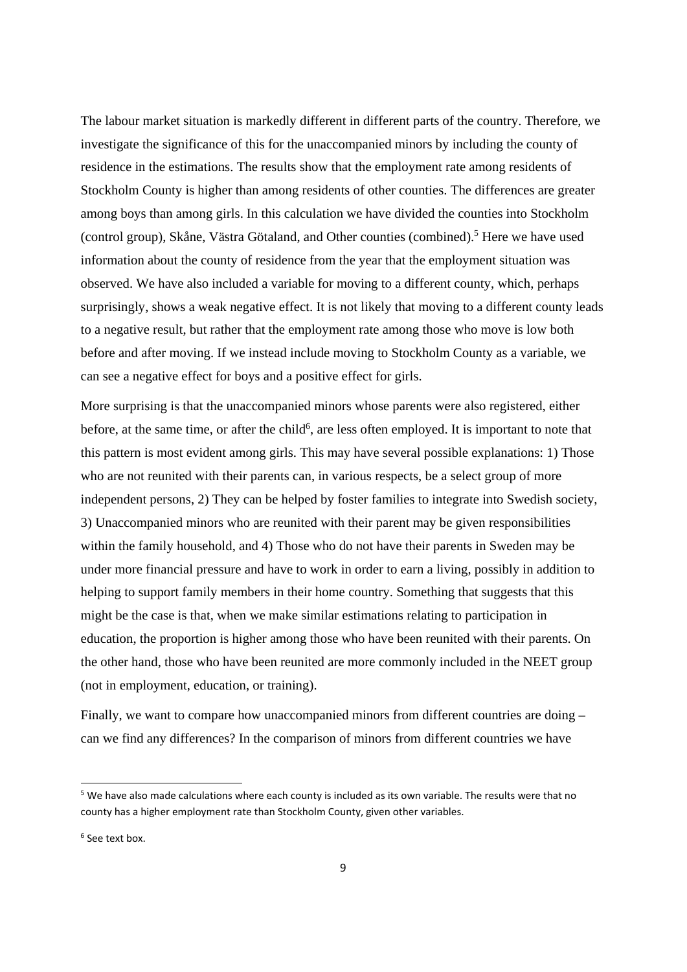The labour market situation is markedly different in different parts of the country. Therefore, we investigate the significance of this for the unaccompanied minors by including the county of residence in the estimations. The results show that the employment rate among residents of Stockholm County is higher than among residents of other counties. The differences are greater among boys than among girls. In this calculation we have divided the counties into Stockholm (control group), Skåne, Västra Götaland, and Other counties (combined).<sup>5</sup> Here we have used information about the county of residence from the year that the employment situation was observed. We have also included a variable for moving to a different county, which, perhaps surprisingly, shows a weak negative effect. It is not likely that moving to a different county leads to a negative result, but rather that the employment rate among those who move is low both before and after moving. If we instead include moving to Stockholm County as a variable, we can see a negative effect for boys and a positive effect for girls.

More surprising is that the unaccompanied minors whose parents were also registered, either before, at the same time, or after the child<sup>6</sup>, are less often employed. It is important to note that this pattern is most evident among girls. This may have several possible explanations: 1) Those who are not reunited with their parents can, in various respects, be a select group of more independent persons, 2) They can be helped by foster families to integrate into Swedish society, 3) Unaccompanied minors who are reunited with their parent may be given responsibilities within the family household, and 4) Those who do not have their parents in Sweden may be under more financial pressure and have to work in order to earn a living, possibly in addition to helping to support family members in their home country. Something that suggests that this might be the case is that, when we make similar estimations relating to participation in education, the proportion is higher among those who have been reunited with their parents. On the other hand, those who have been reunited are more commonly included in the NEET group (not in employment, education, or training).

Finally, we want to compare how unaccompanied minors from different countries are doing – can we find any differences? In the comparison of minors from different countries we have

<sup>6</sup> See text box.

<sup>5</sup> We have also made calculations where each county is included as its own variable. The results were that no county has a higher employment rate than Stockholm County, given other variables.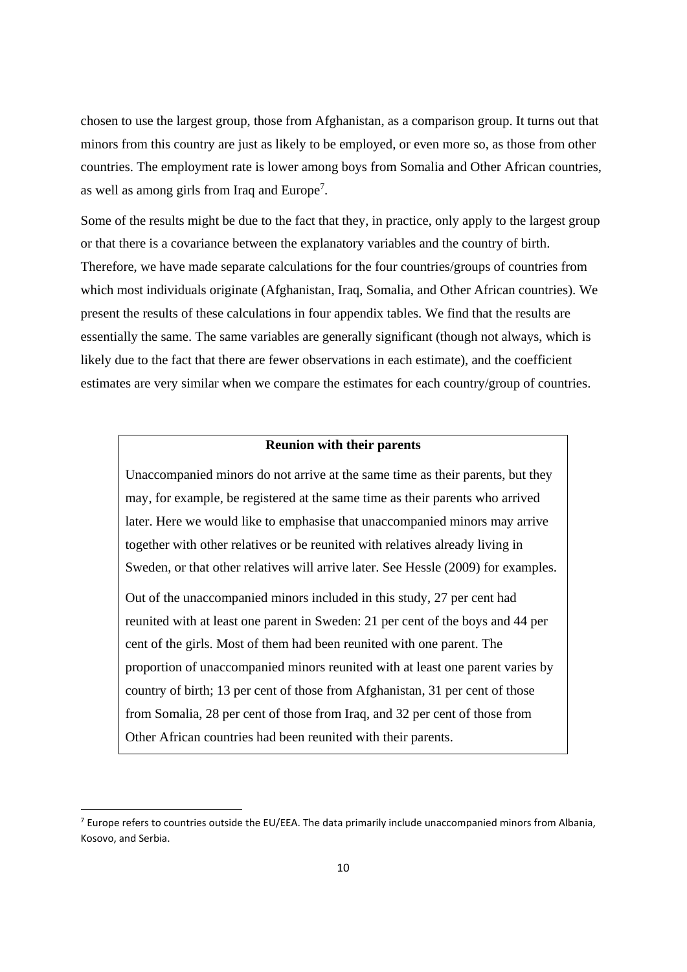chosen to use the largest group, those from Afghanistan, as a comparison group. It turns out that minors from this country are just as likely to be employed, or even more so, as those from other countries. The employment rate is lower among boys from Somalia and Other African countries, as well as among girls from Iraq and Europe<sup>7</sup>.

Some of the results might be due to the fact that they, in practice, only apply to the largest group or that there is a covariance between the explanatory variables and the country of birth. Therefore, we have made separate calculations for the four countries/groups of countries from which most individuals originate (Afghanistan, Iraq, Somalia, and Other African countries). We present the results of these calculations in four appendix tables. We find that the results are essentially the same. The same variables are generally significant (though not always, which is likely due to the fact that there are fewer observations in each estimate), and the coefficient estimates are very similar when we compare the estimates for each country/group of countries.

#### **Reunion with their parents**

Unaccompanied minors do not arrive at the same time as their parents, but they may, for example, be registered at the same time as their parents who arrived later. Here we would like to emphasise that unaccompanied minors may arrive together with other relatives or be reunited with relatives already living in Sweden, or that other relatives will arrive later. See Hessle (2009) for examples.

Out of the unaccompanied minors included in this study, 27 per cent had reunited with at least one parent in Sweden: 21 per cent of the boys and 44 per cent of the girls. Most of them had been reunited with one parent. The proportion of unaccompanied minors reunited with at least one parent varies by country of birth; 13 per cent of those from Afghanistan, 31 per cent of those from Somalia, 28 per cent of those from Iraq, and 32 per cent of those from Other African countries had been reunited with their parents.

 $7$  Europe refers to countries outside the EU/EEA. The data primarily include unaccompanied minors from Albania, Kosovo, and Serbia.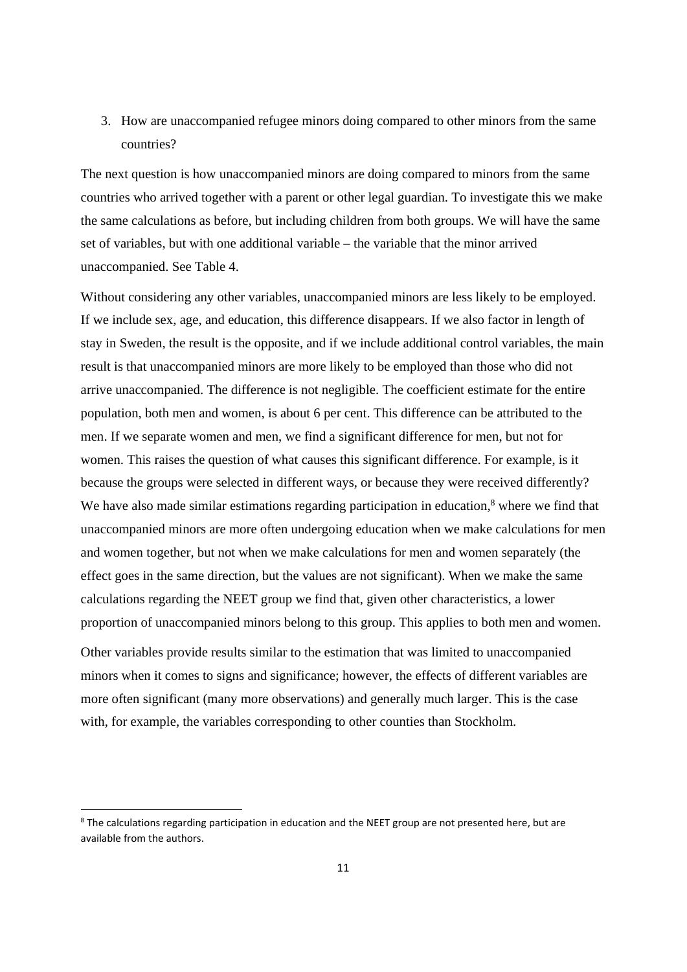3. How are unaccompanied refugee minors doing compared to other minors from the same countries?

The next question is how unaccompanied minors are doing compared to minors from the same countries who arrived together with a parent or other legal guardian. To investigate this we make the same calculations as before, but including children from both groups. We will have the same set of variables, but with one additional variable – the variable that the minor arrived unaccompanied. See Table 4.

Without considering any other variables, unaccompanied minors are less likely to be employed. If we include sex, age, and education, this difference disappears. If we also factor in length of stay in Sweden, the result is the opposite, and if we include additional control variables, the main result is that unaccompanied minors are more likely to be employed than those who did not arrive unaccompanied. The difference is not negligible. The coefficient estimate for the entire population, both men and women, is about 6 per cent. This difference can be attributed to the men. If we separate women and men, we find a significant difference for men, but not for women. This raises the question of what causes this significant difference. For example, is it because the groups were selected in different ways, or because they were received differently? We have also made similar estimations regarding participation in education, $\delta$  where we find that unaccompanied minors are more often undergoing education when we make calculations for men and women together, but not when we make calculations for men and women separately (the effect goes in the same direction, but the values are not significant). When we make the same calculations regarding the NEET group we find that, given other characteristics, a lower proportion of unaccompanied minors belong to this group. This applies to both men and women.

Other variables provide results similar to the estimation that was limited to unaccompanied minors when it comes to signs and significance; however, the effects of different variables are more often significant (many more observations) and generally much larger. This is the case with, for example, the variables corresponding to other counties than Stockholm.

<sup>&</sup>lt;sup>8</sup> The calculations regarding participation in education and the NEET group are not presented here, but are available from the authors.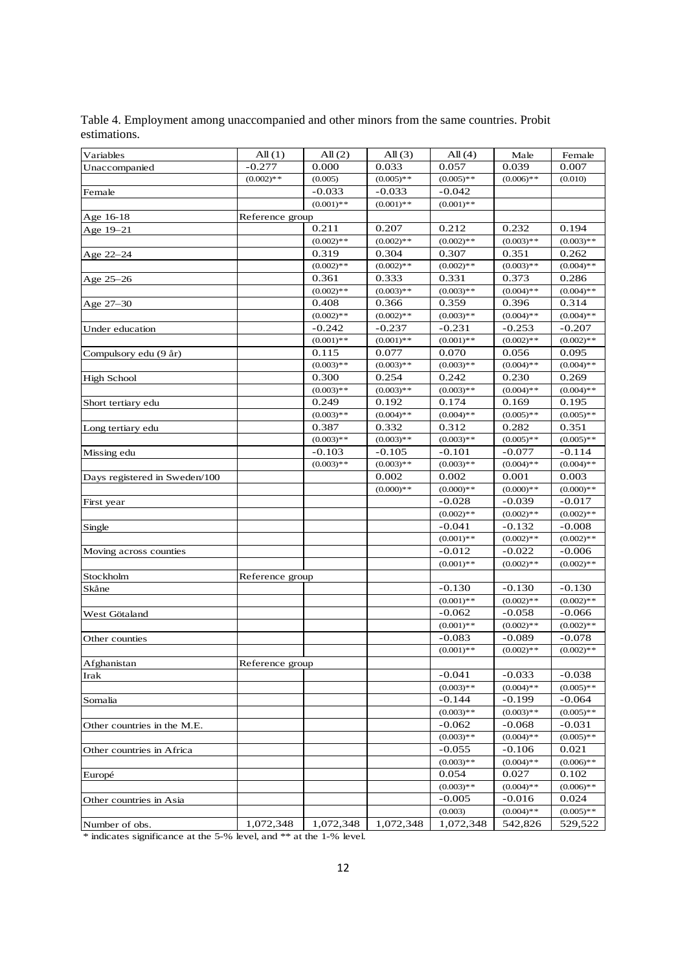| Variables                     | All(1)          | All $(2)$    | All $(3)$    | All $(4)$    | Male         | Female       |
|-------------------------------|-----------------|--------------|--------------|--------------|--------------|--------------|
| Unaccompanied                 | $-0.277$        | 0.000        | 0.033        | 0.057        | 0.039        | 0.007        |
|                               | $(0.002)$ **    | (0.005)      | $(0.005)$ ** | $(0.005)**$  | $(0.006)$ ** | (0.010)      |
| Female                        |                 | $-0.033$     | $-0.033$     | $-0.042$     |              |              |
|                               |                 | $(0.001)$ ** | $(0.001)$ ** | $(0.001)$ ** |              |              |
| Age 16-18                     | Reference group |              |              |              |              |              |
| Age 19-21                     |                 | 0.211        | 0.207        | 0.212        | 0.232        | 0.194        |
|                               |                 | $(0.002)$ ** | $(0.002)$ ** | $(0.002)$ ** | $(0.003)$ ** | $(0.003)**$  |
| Age 22-24                     |                 | 0.319        | 0.304        | 0.307        | 0.351        | 0.262        |
|                               |                 | $(0.002)$ ** | $(0.002)$ ** | $(0.002)$ ** | $(0.003)$ ** | $(0.004)$ ** |
| Age 25-26                     |                 | 0.361        | 0.333        | 0.331        | 0.373        | 0.286        |
|                               |                 | $(0.002)$ ** | $(0.003)$ ** | $(0.003)**$  | $(0.004)$ ** | $(0.004)$ ** |
| Age 27–30                     |                 | 0.408        | 0.366        | 0.359        | 0.396        | 0.314        |
|                               |                 | $(0.002)$ ** | $(0.002)$ ** | $(0.003)**$  | $(0.004)$ ** | $(0.004)$ ** |
| Under education               |                 | $-0.242$     | $-0.237$     | $-0.231$     | $-0.253$     | $-0.207$     |
|                               |                 | $(0.001)$ ** | $(0.001)$ ** | $(0.001)$ ** | $(0.002)$ ** | $(0.002)$ ** |
| Compulsory edu (9 år)         |                 | 0.115        | 0.077        | 0.070        | 0.056        | 0.095        |
|                               |                 | $(0.003)**$  | $(0.003)$ ** | $(0.003)**$  | $(0.004)$ ** | $(0.004)$ ** |
| <b>High School</b>            |                 | 0.300        | 0.254        | 0.242        | 0.230        | 0.269        |
|                               |                 | $(0.003)$ ** | $(0.003)$ ** | $(0.003)**$  | $(0.004)$ ** | $(0.004)$ ** |
| Short tertiary edu            |                 | 0.249        | 0.192        | 0.174        | 0.169        | 0.195        |
|                               |                 | $(0.003)**$  | $(0.004)$ ** | $(0.004)$ ** | $(0.005)$ ** | $(0.005)**$  |
| Long tertiary edu             |                 | 0.387        | 0.332        | 0.312        | 0.282        | 0.351        |
|                               |                 | $(0.003)$ ** | $(0.003)$ ** | $(0.003)$ ** | $(0.005)$ ** | $(0.005)**$  |
| Missing edu                   |                 | $-0.103$     | $-0.105$     | $-0.101$     | $-0.077$     | $-0.114$     |
|                               |                 | $(0.003)$ ** | $(0.003)$ ** | $(0.003)$ ** | $(0.004)$ ** | $(0.004)$ ** |
| Days registered in Sweden/100 |                 |              | 0.002        | 0.002        | 0.001        | 0.003        |
|                               |                 |              | $(0.000)**$  | $(0.000)**$  | $(0.000)**$  | $(0.000)**$  |
| First year                    |                 |              |              | $-0.028$     | $-0.039$     | $-0.017$     |
|                               |                 |              |              | $(0.002)$ ** | $(0.002)$ ** | $(0.002)$ ** |
| Single                        |                 |              |              | $-0.041$     | $-0.132$     | $-0.008$     |
|                               |                 |              |              | $(0.001)$ ** | $(0.002)$ ** | $(0.002)$ ** |
| Moving across counties        |                 |              |              | $-0.012$     | $-0.022$     | $-0.006$     |
|                               |                 |              |              | $(0.001)$ ** | $(0.002)$ ** | $(0.002)$ ** |
| Stockholm                     | Reference group |              |              |              |              |              |
| Skåne                         |                 |              |              | $-0.130$     | $-0.130$     | $-0.130$     |
|                               |                 |              |              | $(0.001)$ ** | $(0.002)$ ** | $(0.002)$ ** |
| West Götaland                 |                 |              |              | $-0.062$     | $-0.058$     | $-0.066$     |
|                               |                 |              |              | $(0.001)$ ** | $(0.002)$ ** | $(0.002)$ ** |
| Other counties                |                 |              |              | $-0.083$     | $-0.089$     | $-0.078$     |
|                               |                 |              |              | $(0.001)$ ** | $(0.002)$ ** | $(0.002)$ ** |
| Afghanistan                   | Reference group |              |              |              |              |              |
| Irak                          |                 |              |              | $-0.041$     | $-0.033$     | $-0.038$     |
|                               |                 |              |              | $(0.003)*$   | $(0.004)$ ** | $(0.005)$ ** |
| Somalia                       |                 |              |              | $-0.144$     | $-0.199$     | $-0.064$     |
|                               |                 |              |              | $(0.003)**$  | $(0.003)**$  | $(0.005)$ ** |
| Other countries in the M.E.   |                 |              |              | $-0.062$     | -0.068       | $-0.031$     |
|                               |                 |              |              | $(0.003)**$  | $(0.004)$ ** | $(0.005)$ ** |
| Other countries in Africa     |                 |              |              | $-0.055$     | $-0.106$     | 0.021        |
|                               |                 |              |              | $(0.003)$ ** | $(0.004)$ ** | $(0.006)$ ** |
| Europé                        |                 |              |              | 0.054        | 0.027        | 0.102        |
|                               |                 |              |              | $(0.003)**$  | $(0.004)$ ** | $(0.006)$ ** |
| Other countries in Asia       |                 |              |              | $-0.005$     | $-0.016$     | 0.024        |
|                               |                 |              |              | (0.003)      | $(0.004)$ ** | $(0.005)$ ** |
| Number of obs.                | 1,072,348       | 1,072,348    | 1,072,348    | 1,072,348    | 542,826      | 529,522      |

Table 4. Employment among unaccompanied and other minors from the same countries. Probit estimations.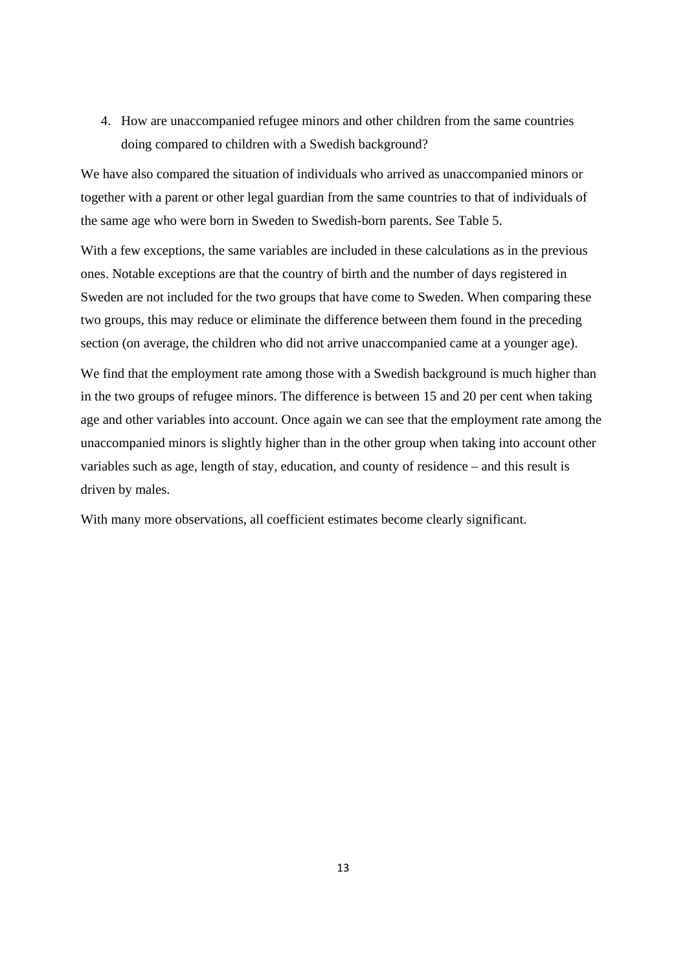4. How are unaccompanied refugee minors and other children from the same countries doing compared to children with a Swedish background?

We have also compared the situation of individuals who arrived as unaccompanied minors or together with a parent or other legal guardian from the same countries to that of individuals of the same age who were born in Sweden to Swedish-born parents. See Table 5.

With a few exceptions, the same variables are included in these calculations as in the previous ones. Notable exceptions are that the country of birth and the number of days registered in Sweden are not included for the two groups that have come to Sweden. When comparing these two groups, this may reduce or eliminate the difference between them found in the preceding section (on average, the children who did not arrive unaccompanied came at a younger age).

We find that the employment rate among those with a Swedish background is much higher than in the two groups of refugee minors. The difference is between 15 and 20 per cent when taking age and other variables into account. Once again we can see that the employment rate among the unaccompanied minors is slightly higher than in the other group when taking into account other variables such as age, length of stay, education, and county of residence – and this result is driven by males.

With many more observations, all coefficient estimates become clearly significant.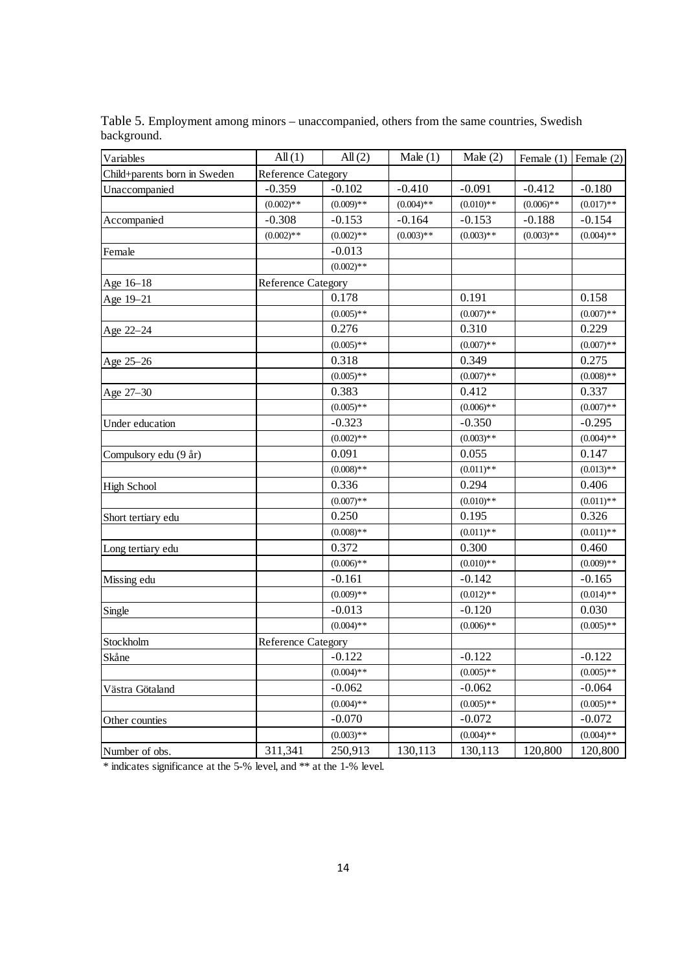| Variables                    | All(1)                    | All(2)       | Male $(1)$   | Male $(2)$   |              | Female $(1)$ Female $(2)$ |
|------------------------------|---------------------------|--------------|--------------|--------------|--------------|---------------------------|
| Child+parents born in Sweden | <b>Reference Category</b> |              |              |              |              |                           |
| Unaccompanied                | $-0.359$                  | $-0.102$     | $-0.410$     | $-0.091$     | $-0.412$     | $-0.180$                  |
|                              | $(0.002)$ **              | $(0.009)**$  | $(0.004)$ ** | $(0.010)**$  | $(0.006)$ ** | $(0.017)$ **              |
| Accompanied                  | $-0.308$                  | $-0.153$     | $-0.164$     | $-0.153$     | $-0.188$     | $-0.154$                  |
|                              | $(0.002)$ **              | $(0.002)$ ** | $(0.003)**$  | $(0.003)**$  | $(0.003)$ ** | $(0.004)$ **              |
| Female                       |                           | $-0.013$     |              |              |              |                           |
|                              |                           | $(0.002)$ ** |              |              |              |                           |
| Age 16-18                    | <b>Reference Category</b> |              |              |              |              |                           |
| Age 19-21                    |                           | 0.178        |              | 0.191        |              | 0.158                     |
|                              |                           | $(0.005)$ ** |              | $(0.007)$ ** |              | $(0.007)$ **              |
| Age 22-24                    |                           | 0.276        |              | 0.310        |              | 0.229                     |
|                              |                           | $(0.005)$ ** |              | $(0.007)$ ** |              | $(0.007)**$               |
| Age 25-26                    |                           | 0.318        |              | 0.349        |              | 0.275                     |
|                              |                           | $(0.005)**$  |              | $(0.007)$ ** |              | $(0.008)**$               |
| Age 27-30                    |                           | 0.383        |              | 0.412        |              | 0.337                     |
|                              |                           | $(0.005)$ ** |              | $(0.006)$ ** |              | $(0.007)$ **              |
| Under education              |                           | $-0.323$     |              | $-0.350$     |              | $-0.295$                  |
|                              |                           | $(0.002)$ ** |              | $(0.003)**$  |              | $(0.004)$ **              |
| Compulsory edu (9 år)        |                           | 0.091        |              | 0.055        |              | 0.147                     |
|                              |                           | $(0.008)$ ** |              | $(0.011)$ ** |              | $(0.013)$ **              |
| <b>High School</b>           |                           | 0.336        |              | 0.294        |              | 0.406                     |
|                              |                           | $(0.007)**$  |              | $(0.010)**$  |              | $(0.011)$ **              |
| Short tertiary edu           |                           | 0.250        |              | 0.195        |              | 0.326                     |
|                              |                           | $(0.008)$ ** |              | $(0.011)$ ** |              | $(0.011)$ **              |
| Long tertiary edu            |                           | 0.372        |              | 0.300        |              | 0.460                     |
|                              |                           | $(0.006)$ ** |              | $(0.010)**$  |              | $(0.009)**$               |
| Missing edu                  |                           | $-0.161$     |              | $-0.142$     |              | $-0.165$                  |
|                              |                           | $(0.009)**$  |              | $(0.012)$ ** |              | $(0.014)$ **              |
| Single                       |                           | $-0.013$     |              | $-0.120$     |              | 0.030                     |
|                              |                           | $(0.004)$ ** |              | $(0.006)$ ** |              | $(0.005)$ **              |
| Stockholm                    | <b>Reference Category</b> |              |              |              |              |                           |
| Skåne                        |                           | $-0.122$     |              | $-0.122$     |              | $-0.122$                  |
|                              |                           | $(0.004)$ ** |              | $(0.005)$ ** |              | $(0.005)$ **              |
| Västra Götaland              |                           | $-0.062$     |              | $-0.062$     |              | $-0.064$                  |
|                              |                           | $(0.004)$ ** |              | $(0.005)$ ** |              | $(0.005)$ **              |
| Other counties               |                           | $-0.070$     |              | $-0.072$     |              | $-0.072$                  |
|                              |                           | $(0.003)**$  |              | $(0.004)$ ** |              | $(0.004)$ **              |
| Number of obs.               | 311,341                   | 250,913      | 130,113      | 130,113      | 120,800      | 120,800                   |

Table 5. Employment among minors – unaccompanied, others from the same countries, Swedish background.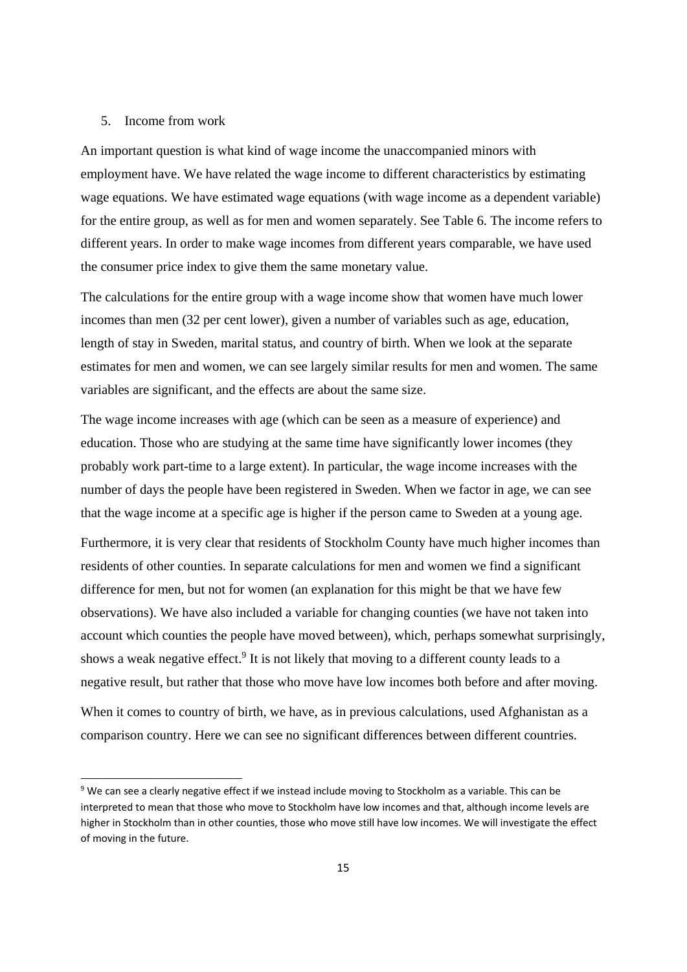#### 5. Income from work

An important question is what kind of wage income the unaccompanied minors with employment have. We have related the wage income to different characteristics by estimating wage equations. We have estimated wage equations (with wage income as a dependent variable) for the entire group, as well as for men and women separately. See Table 6. The income refers to different years. In order to make wage incomes from different years comparable, we have used the consumer price index to give them the same monetary value.

The calculations for the entire group with a wage income show that women have much lower incomes than men (32 per cent lower), given a number of variables such as age, education, length of stay in Sweden, marital status, and country of birth. When we look at the separate estimates for men and women, we can see largely similar results for men and women. The same variables are significant, and the effects are about the same size.

The wage income increases with age (which can be seen as a measure of experience) and education. Those who are studying at the same time have significantly lower incomes (they probably work part-time to a large extent). In particular, the wage income increases with the number of days the people have been registered in Sweden. When we factor in age, we can see that the wage income at a specific age is higher if the person came to Sweden at a young age.

Furthermore, it is very clear that residents of Stockholm County have much higher incomes than residents of other counties. In separate calculations for men and women we find a significant difference for men, but not for women (an explanation for this might be that we have few observations). We have also included a variable for changing counties (we have not taken into account which counties the people have moved between), which, perhaps somewhat surprisingly, shows a weak negative effect.<sup>9</sup> It is not likely that moving to a different county leads to a negative result, but rather that those who move have low incomes both before and after moving.

When it comes to country of birth, we have, as in previous calculations, used Afghanistan as a comparison country. Here we can see no significant differences between different countries.

<sup>9</sup> We can see a clearly negative effect if we instead include moving to Stockholm as a variable. This can be interpreted to mean that those who move to Stockholm have low incomes and that, although income levels are higher in Stockholm than in other counties, those who move still have low incomes. We will investigate the effect of moving in the future.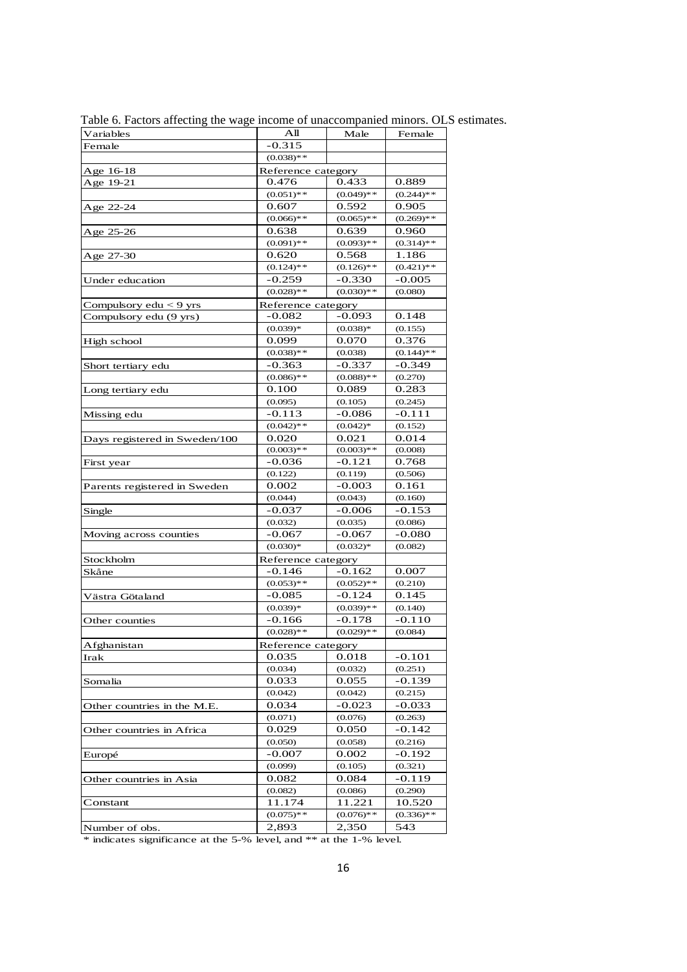| Variables                     | Αll                | Male         | Female       |
|-------------------------------|--------------------|--------------|--------------|
| Female                        | $-0.315$           |              |              |
|                               | $(0.038)$ **       |              |              |
| Age 16-18                     | Reference category |              |              |
| Age 19-21                     | 0.476              | 0.433        | 0.889        |
|                               | $(0.051)$ **       | $(0.049)**$  | $(0.244)$ ** |
| Age 22-24                     | 0.607              | 0.592        | 0.905        |
|                               | $(0.066)$ **       | $(0.065)**$  | $(0.269)$ ** |
| Age 25-26                     | 0.638              | 0.639        | 0.960        |
|                               | $(0.091)$ **       | $(0.093)**$  | $(0.314)$ ** |
| Age 27-30                     | 0.620              | 0.568        | 1.186        |
|                               | $(0.124)$ **       | $(0.126)$ ** | $(0.421)$ ** |
| Under education               | $-0.259$           | -0.330       | $-0.005$     |
|                               | $(0.028)$ **       | $(0.030)**$  | (0.080)      |
| Compulsory $edu < 9$ yrs      | Reference category |              |              |
| Compulsory edu (9 yrs)        | $-0.082$           | $-0.093$     | 0.148        |
|                               | $(0.039)*$         | $(0.038)*$   | (0.155)      |
| High school                   | 0.099              | 0.070        | 0.376        |
|                               | $(0.038)$ **       | (0.038)      | $(0.144)$ ** |
| Short tertiary edu            | $-0.363$           | $-0.337$     | $-0.349$     |
|                               | $(0.086)$ **       | $(0.088)**$  | (0.270)      |
| Long tertiary edu             | 0.100              | 0.089        | 0.283        |
|                               | (0.095)            | (0.105)      | (0.245)      |
| Missing edu                   | $-0.113$           | $-0.086$     | $-0.111$     |
|                               | $(0.042)$ **       | $(0.042)*$   | (0.152)      |
| Days registered in Sweden/100 | 0.020              | 0.021        | 0.014        |
|                               | $(0.003)**$        | $(0.003)**$  | (0.008)      |
| First year                    | $-0.036$           | $-0.121$     | 0.768        |
|                               | (0.122)            | (0.119)      | (0.506)      |
| Parents registered in Sweden  | 0.002              | $-0.003$     | 0.161        |
|                               | (0.044)            | (0.043)      | (0.160)      |
| Single                        | $-0.037$           | $-0.006$     | $-0.153$     |
|                               | (0.032)            | (0.035)      | (0.086)      |
| Moving across counties        | $-0.067$           | $-0.067$     | $-0.080$     |
|                               | $(0.030)*$         | $(0.032)*$   | (0.082)      |
| Stockholm                     | Reference category |              |              |
| Skåne                         | $-0.146$           | $-0.162$     | 0.007        |
|                               | $(0.053)**$        | $(0.052)**$  | (0.210)      |
| Västra Götaland               | -0.085             | $-0.124$     | 0.145        |
|                               | $(0.039)*$         | $(0.039)*$   | (0.140)      |
| Other counties                | $-0.166$           | $-0.178$     | $-0.110$     |
|                               | $(0.028)$ **       | $(0.029)**$  | (0.084)      |
| Afghanistan                   | Reference category |              |              |
| Irak                          | 0.035              | 0.018        | $-0.101$     |
|                               | (0.034)            | (0.032)      | (0.251)      |
| Somalia                       | 0.033              | 0.055        | -0.139       |
|                               | (0.042)            | (0.042)      | (0.215)      |
| Other countries in the M.E.   | 0.034              | $-0.023$     | $-0.033$     |
|                               | (0.071)            | (0.076)      | (0.263)      |
| Other countries in Africa     | 0.029              | 0.050        | -0.142       |
|                               | (0.050)            | (0.058)      | (0.216)      |
| Europé                        | -0.007             | 0.002        | -0.192       |
|                               | (0.099)            | (0.105)      | (0.321)      |
| Other countries in Asia       | 0.082              | 0.084        | -0.119       |
|                               | (0.082)            | (0.086)      | (0.290)      |
| Constant                      | 11.174             | 11.221       | 10.520       |
|                               | $(0.075)**$        | $(0.076)**$  | $(0.336)$ ** |
| Number of obs.                | 2,893              | 2,350        | 543          |
|                               |                    |              |              |

Table 6. Factors affecting the wage income of unaccompanied minors. OLS estimates.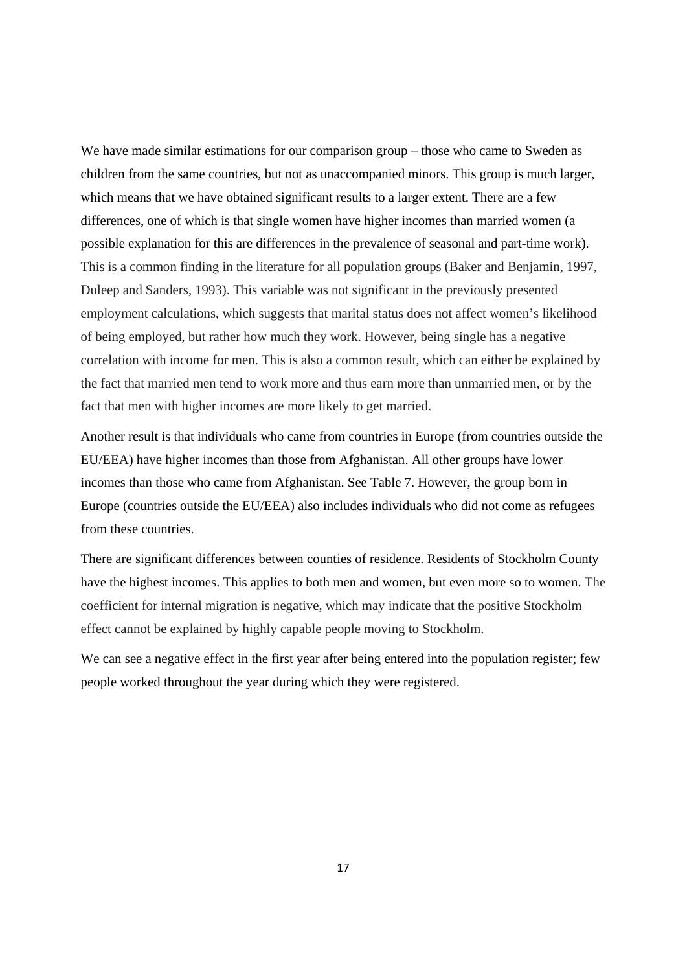We have made similar estimations for our comparison group – those who came to Sweden as children from the same countries, but not as unaccompanied minors. This group is much larger, which means that we have obtained significant results to a larger extent. There are a few differences, one of which is that single women have higher incomes than married women (a possible explanation for this are differences in the prevalence of seasonal and part-time work). This is a common finding in the literature for all population groups (Baker and Benjamin, 1997, Duleep and Sanders, 1993). This variable was not significant in the previously presented employment calculations, which suggests that marital status does not affect women's likelihood of being employed, but rather how much they work. However, being single has a negative correlation with income for men. This is also a common result, which can either be explained by the fact that married men tend to work more and thus earn more than unmarried men, or by the fact that men with higher incomes are more likely to get married.

Another result is that individuals who came from countries in Europe (from countries outside the EU/EEA) have higher incomes than those from Afghanistan. All other groups have lower incomes than those who came from Afghanistan. See Table 7. However, the group born in Europe (countries outside the EU/EEA) also includes individuals who did not come as refugees from these countries.

There are significant differences between counties of residence. Residents of Stockholm County have the highest incomes. This applies to both men and women, but even more so to women. The coefficient for internal migration is negative, which may indicate that the positive Stockholm effect cannot be explained by highly capable people moving to Stockholm.

We can see a negative effect in the first year after being entered into the population register; few people worked throughout the year during which they were registered.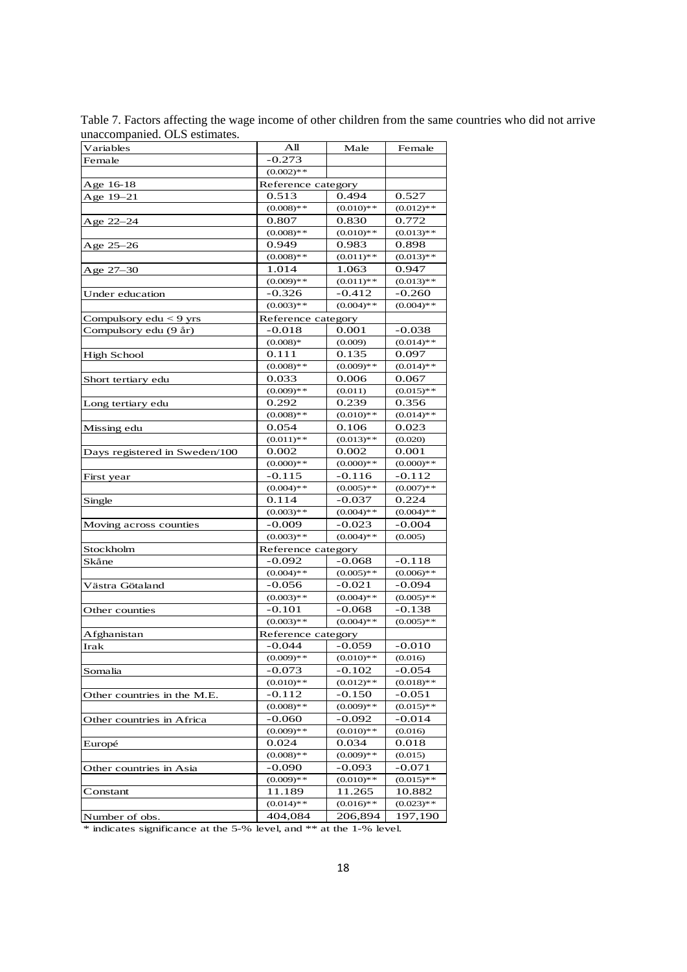| Variables                     | All                | Male         | Female       |
|-------------------------------|--------------------|--------------|--------------|
| Female                        | $-0.273$           |              |              |
|                               | $(0.002)$ **       |              |              |
| Age 16-18                     | Reference category |              |              |
| Age 19–21                     | 0.513              | 0.494        | 0.527        |
|                               | $(0.008)$ **       | $(0.010)**$  | $(0.012)$ ** |
| Age 22–24                     | 0.807              | 0.830        | 0.772        |
|                               | $(0.008)$ **       | $(0.010)**$  | $(0.013)$ ** |
| Age 25-26                     | 0.949              | 0.983        | 0.898        |
|                               | $(0.008)**$        | $(0.011)$ ** | $(0.013)$ ** |
| Age 27–30                     | 1.014              | 1.063        | 0.947        |
|                               | $(0.009)**$        | $(0.011)$ ** | $(0.013)$ ** |
| Under education               | $-0.326$           | $-0.412$     | $-0.260$     |
|                               | $(0.003)**$        | $(0.004)$ ** | $(0.004)$ ** |
| Compulsory $edu < 9$ yrs      | Reference category |              |              |
| Compulsory edu (9 år)         | -0.018             | 0.001        | $-0.038$     |
|                               | $(0.008)*$         | (0.009)      | $(0.014)$ ** |
| High School                   | 0.111              | 0.135        | 0.097        |
|                               | $(0.008)$ **       | $(0.009)**$  | $(0.014)*$   |
| Short tertiary edu            | 0.033              | 0.006        | 0.067        |
|                               | $(0.009)**$        | (0.011)      | $(0.015)$ ** |
| Long tertiary edu             | 0.292              | 0.239        | 0.356        |
|                               | $(0.008)$ **       | $(0.010)**$  | $(0.014)$ ** |
| Missing edu                   | 0.054              | 0.106        | 0.023        |
|                               | $(0.011)$ **       | $(0.013)**$  | (0.020)      |
| Days registered in Sweden/100 | 0.002              | 0.002        | 0.001        |
|                               | $(0.000)**$        | $(0.000)**$  | $(0.000)**$  |
| First year                    | $-0.115$           | $-0.116$     | $-0.112$     |
|                               | $(0.004)$ **       | $(0.005)$ ** | $(0.007)$ ** |
| Single                        | 0.114              | $-0.037$     | 0.224        |
|                               | $(0.003)**$        | $(0.004)$ ** | $(0.004)$ ** |
| Moving across counties        | $-0.009$           | -0.023       | $-0.004$     |
|                               | $(0.003)**$        | $(0.004)$ ** | (0.005)      |
| Stockholm                     | Reference category |              |              |
| Skåne                         | -0.092             | $-0.068$     | $-0.118$     |
|                               | $(0.004)$ **       | $(0.005)**$  | $(0.006)$ ** |
| Västra Götaland               | $-0.056$           | $-0.021$     | $-0.094$     |
|                               | $(0.003)**$        | $(0.004)$ ** | $(0.005)$ ** |
| Other counties                | $-0.101$           | $-0.068$     | $-0.138$     |
|                               | $(0.003)**$        | $(0.004)$ ** | $(0.005)$ ** |
| Afghanistan                   | Reference category |              |              |
| Irak                          | $-0.044$           | $-0.059$     | -0.010       |
|                               | $(0.009)**$        | $(0.010)**$  | (0.016)      |
| Somalia                       | -0.073             | $-0.102$     | $-0.054$     |
|                               | $(0.010)**$        | $(0.012)**$  | $(0.018)$ ** |
| Other countries in the M.E.   | -0.112             | $-0.150$     | $-0.051$     |
|                               | $(0.008)**$        | $(0.009)**$  | $(0.015)$ ** |
| Other countries in Africa     | -0.060             | -0.092       | -0.014       |
|                               | $(0.009)**$        | $(0.010)**$  | (0.016)      |
| Europé                        | 0.024              | 0.034        | 0.018        |
|                               | $(0.008)$ **       | $(0.009)**$  | (0.015)      |
| Other countries in Asia       | -0.090             | -0.093       | -0.071       |
|                               | $(0.009)**$        | $(0.010)**$  | $(0.015)$ ** |
| Constant                      | 11.189             | 11.265       | 10.882       |
|                               | $(0.014)*$         | $(0.016)**$  | $(0.023)**$  |
| Number of obs.                | 404,084            | 206,894      | 197,190      |
|                               |                    |              |              |

Table 7. Factors affecting the wage income of other children from the same countries who did not arrive unaccompanied. OLS estimates.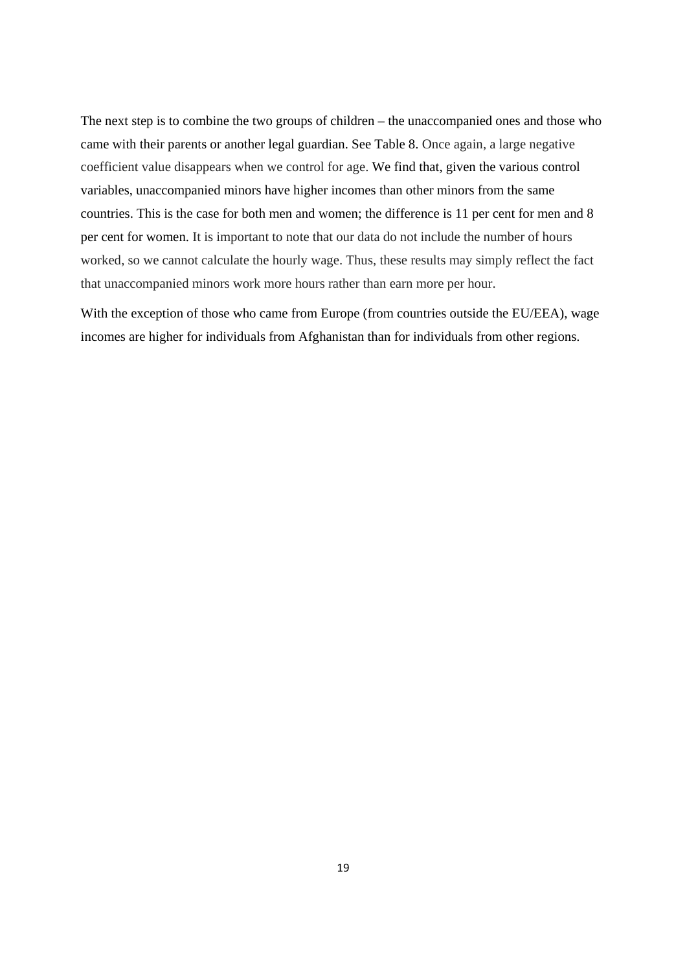The next step is to combine the two groups of children – the unaccompanied ones and those who came with their parents or another legal guardian. See Table 8. Once again, a large negative coefficient value disappears when we control for age. We find that, given the various control variables, unaccompanied minors have higher incomes than other minors from the same countries. This is the case for both men and women; the difference is 11 per cent for men and 8 per cent for women. It is important to note that our data do not include the number of hours worked, so we cannot calculate the hourly wage. Thus, these results may simply reflect the fact that unaccompanied minors work more hours rather than earn more per hour.

With the exception of those who came from Europe (from countries outside the EU/EEA), wage incomes are higher for individuals from Afghanistan than for individuals from other regions.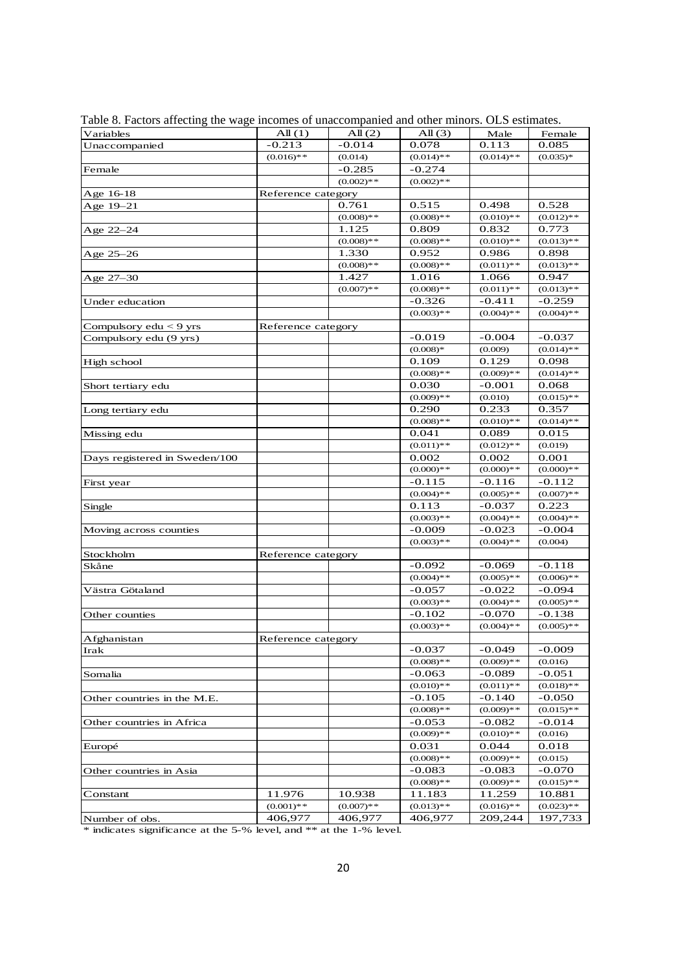| Variables                     | All(1)             | All(2)       | All $(3)$    | Male         | Female       |
|-------------------------------|--------------------|--------------|--------------|--------------|--------------|
| Unaccompanied                 | $-0.213$           | $-0.014$     | 0.078        | 0.113        | 0.085        |
|                               | $(0.016)**$        | (0.014)      | $(0.014)$ ** | $(0.014)$ ** | $(0.035)*$   |
| Female                        |                    | $-0.285$     | $-0.274$     |              |              |
|                               |                    | $(0.002)$ ** | $(0.002)$ ** |              |              |
| Age 16-18                     | Reference category |              |              |              |              |
| Age 19-21                     |                    | 0.761        | 0.515        | 0.498        | 0.528        |
|                               |                    | $(0.008)**$  | $(0.008)**$  | $(0.010)**$  | $(0.012)**$  |
| Age 22–24                     |                    | 1.125        | 0.809        | 0.832        | 0.773        |
|                               |                    | $(0.008)**$  | $(0.008)**$  | $(0.010)**$  | $(0.013)**$  |
| Age 25–26                     |                    | 1.330        | 0.952        | 0.986        | 0.898        |
|                               |                    | $(0.008)$ ** | $(0.008)$ ** | $(0.011)$ ** | $(0.013)**$  |
| Age 27–30                     |                    | 1.427        | 1.016        | 1.066        | 0.947        |
|                               |                    | $(0.007)**$  | $(0.008)**$  | $(0.011)$ ** | $(0.013)**$  |
| Under education               |                    |              | $-0.326$     | $-0.411$     | $-0.259$     |
|                               |                    |              | $(0.003)$ ** | $(0.004)$ ** | $(0.004)**$  |
| Compulsory $edu < 9$ yrs      | Reference category |              |              |              |              |
| Compulsory edu (9 yrs)        |                    |              | $-0.019$     | $-0.004$     | $-0.037$     |
|                               |                    |              | $(0.008)*$   | (0.009)      | $(0.014)**$  |
| High school                   |                    |              | 0.109        | 0.129        | 0.098        |
|                               |                    |              | $(0.008)$ ** | $(0.009)**$  | $(0.014)$ ** |
| Short tertiary edu            |                    |              | 0.030        | $-0.001$     | 0.068        |
|                               |                    |              | $(0.009)**$  | (0.010)      | $(0.015)**$  |
| Long tertiary edu             |                    |              | 0.290        | 0.233        | 0.357        |
|                               |                    |              | $(0.008)**$  | $(0.010)**$  | $(0.014)$ ** |
| Missing edu                   |                    |              | 0.041        | 0.089        | 0.015        |
|                               |                    |              | $(0.011)$ ** | $(0.012)$ ** | (0.019)      |
| Days registered in Sweden/100 |                    |              | 0.002        | 0.002        | 0.001        |
|                               |                    |              | $(0.000)**$  | $(0.000)**$  | $(0.000)**$  |
| First year                    |                    |              | $-0.115$     | $-0.116$     | $-0.112$     |
|                               |                    |              | $(0.004)$ ** | $(0.005)**$  | $(0.007)**$  |
| Single                        |                    |              | 0.113        | $-0.037$     | 0.223        |
|                               |                    |              | $(0.003)**$  | $(0.004)$ ** | $(0.004)$ ** |
| Moving across counties        |                    |              | $-0.009$     | $-0.023$     | $-0.004$     |
|                               |                    |              | $(0.003)**$  | $(0.004)$ ** | (0.004)      |
| Stockholm                     | Reference category |              |              |              |              |
| Skåne                         |                    |              | $-0.092$     | $-0.069$     | $-0.118$     |
|                               |                    |              | $(0.004)$ ** | $(0.005)**$  | $(0.006)**$  |
| Västra Götaland               |                    |              | $-0.057$     | $-0.022$     | $-0.094$     |
|                               |                    |              | $(0.003)**$  | $(0.004)$ ** | $(0.005)**$  |
| Other counties                |                    |              | $-0.102$     | $-0.070$     | $-0.138$     |
|                               |                    |              | $(0.003)**$  | $(0.004)$ ** | $(0.005)**$  |
| Afghanistan                   | Reference category |              |              |              |              |
| Irak                          |                    |              | $-0.037$     | $-0.049$     | $-0.009$     |
|                               |                    |              | $(0.008)**$  | $(0.009)**$  | (0.016)      |
| Somalia                       |                    |              | $-0.063$     | $-0.089$     | -0.051       |
|                               |                    |              | $(0.010)**$  | $(0.011)$ ** | $(0.018)**$  |
| Other countries in the M.E.   |                    |              | $-0.105$     | $-0.140$     | $-0.050$     |
|                               |                    |              | $(0.008)$ ** | $(0.009)**$  | $(0.015)**$  |
| Other countries in Africa     |                    |              | $-0.053$     | $-0.082$     | $-0.014$     |
|                               |                    |              | $(0.009)**$  | $(0.010)**$  | (0.016)      |
| Europé                        |                    |              | 0.031        | 0.044        | 0.018        |
|                               |                    |              | $(0.008)$ ** | $(0.009)**$  | (0.015)      |
| Other countries in Asia       |                    |              | $-0.083$     | $-0.083$     | $-0.070$     |
|                               |                    |              | $(0.008)$ ** | $(0.009)**$  | $(0.015)**$  |
| Constant                      | 11.976             | 10.938       | 11.183       | 11.259       | 10.881       |
|                               | $(0.001)$ **       | $(0.007)**$  | $(0.013)**$  | $(0.016)$ ** | $(0.023)**$  |
| Number of obs.                | 406,977            | 406,977      | 406,977      | 209,244      | 197,733      |

Table 8. Factors affecting the wage incomes of unaccompanied and other minors. OLS estimates.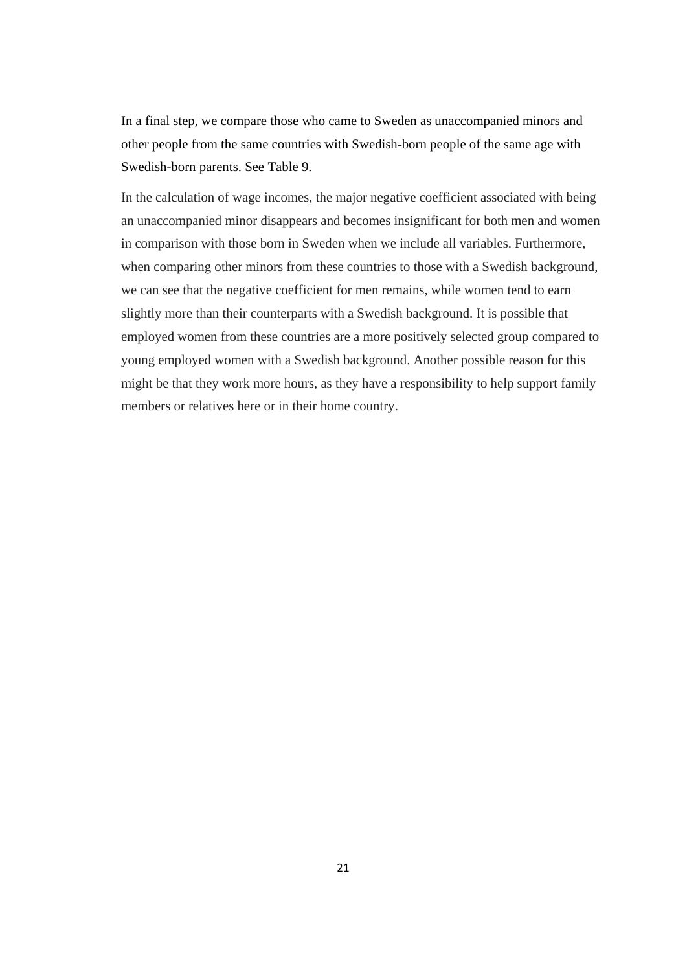In a final step, we compare those who came to Sweden as unaccompanied minors and other people from the same countries with Swedish-born people of the same age with Swedish-born parents. See Table 9.

In the calculation of wage incomes, the major negative coefficient associated with being an unaccompanied minor disappears and becomes insignificant for both men and women in comparison with those born in Sweden when we include all variables. Furthermore, when comparing other minors from these countries to those with a Swedish background, we can see that the negative coefficient for men remains, while women tend to earn slightly more than their counterparts with a Swedish background. It is possible that employed women from these countries are a more positively selected group compared to young employed women with a Swedish background. Another possible reason for this might be that they work more hours, as they have a responsibility to help support family members or relatives here or in their home country.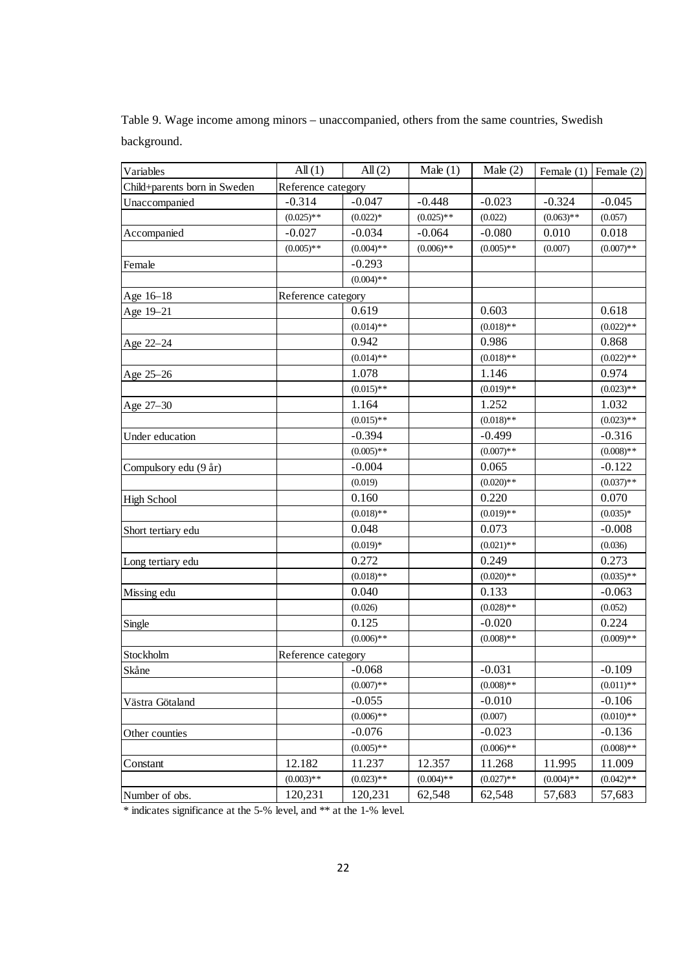| Variables                    | All(1)             | All(2)       | Male $(1)$   | Male $(2)$   | Female (1)   | Female $(2)$ |
|------------------------------|--------------------|--------------|--------------|--------------|--------------|--------------|
| Child+parents born in Sweden | Reference category |              |              |              |              |              |
| Unaccompanied                | $-0.314$           | $-0.047$     | $-0.448$     | $-0.023$     | $-0.324$     | $-0.045$     |
|                              | $(0.025)**$        | $(0.022)*$   | $(0.025)$ ** | (0.022)      | $(0.063)$ ** | (0.057)      |
| Accompanied                  | $-0.027$           | $-0.034$     | $-0.064$     | $-0.080$     | 0.010        | 0.018        |
|                              | $(0.005)$ **       | $(0.004)$ ** | $(0.006)$ ** | $(0.005)$ ** | (0.007)      | $(0.007)$ ** |
| Female                       |                    | $-0.293$     |              |              |              |              |
|                              |                    | $(0.004)$ ** |              |              |              |              |
| Age 16-18                    | Reference category |              |              |              |              |              |
| Age 19-21                    |                    | 0.619        |              | 0.603        |              | 0.618        |
|                              |                    | $(0.014)$ ** |              | $(0.018)**$  |              | $(0.022)$ ** |
| Age 22-24                    |                    | 0.942        |              | 0.986        |              | 0.868        |
|                              |                    | $(0.014)$ ** |              | $(0.018)$ ** |              | $(0.022)$ ** |
| Age 25-26                    |                    | 1.078        |              | 1.146        |              | 0.974        |
|                              |                    | $(0.015)$ ** |              | $(0.019)**$  |              | $(0.023)**$  |
| Age 27-30                    |                    | 1.164        |              | 1.252        |              | 1.032        |
|                              |                    | $(0.015)$ ** |              | $(0.018)$ ** |              | $(0.023)$ ** |
| Under education              |                    | $-0.394$     |              | $-0.499$     |              | $-0.316$     |
|                              |                    | $(0.005)**$  |              | $(0.007)$ ** |              | $(0.008)$ ** |
| Compulsory edu (9 år)        |                    | $-0.004$     |              | 0.065        |              | $-0.122$     |
|                              |                    | (0.019)      |              | $(0.020)**$  |              | $(0.037)$ ** |
| <b>High School</b>           |                    | 0.160        |              | 0.220        |              | 0.070        |
|                              |                    | $(0.018)$ ** |              | $(0.019)**$  |              | $(0.035)*$   |
| Short tertiary edu           |                    | 0.048        |              | 0.073        |              | $-0.008$     |
|                              |                    | $(0.019)*$   |              | $(0.021)$ ** |              | (0.036)      |
| Long tertiary edu            |                    | 0.272        |              | 0.249        |              | 0.273        |
|                              |                    | $(0.018)$ ** |              | $(0.020)**$  |              | $(0.035)$ ** |
| Missing edu                  |                    | 0.040        |              | 0.133        |              | $-0.063$     |
|                              |                    | (0.026)      |              | $(0.028)$ ** |              | (0.052)      |
| Single                       |                    | 0.125        |              | $-0.020$     |              | 0.224        |
|                              |                    | $(0.006)$ ** |              | $(0.008)$ ** |              | $(0.009)**$  |
| Stockholm                    | Reference category |              |              |              |              |              |
| Skåne                        |                    | $-0.068$     |              | $-0.031$     |              | $-0.109$     |
|                              |                    | $(0.007)$ ** |              | $(0.008)$ ** |              | $(0.011)$ ** |
| Västra Götaland              |                    | $-0.055$     |              | $-0.010$     |              | $-0.106$     |
|                              |                    | $(0.006)$ ** |              | (0.007)      |              | $(0.010)**$  |
| Other counties               |                    | $-0.076$     |              | $-0.023$     |              | $-0.136$     |
|                              |                    | $(0.005)$ ** |              | $(0.006)$ ** |              | $(0.008)$ ** |
| Constant                     | 12.182             | 11.237       | 12.357       | 11.268       | 11.995       | 11.009       |
|                              | $(0.003)$ **       | $(0.023)$ ** | $(0.004)$ ** | $(0.027)$ ** | $(0.004)$ ** | $(0.042)$ ** |
| Number of obs.               | 120,231            | 120,231      | 62,548       | 62,548       | 57,683       | 57,683       |

Table 9. Wage income among minors – unaccompanied, others from the same countries, Swedish background.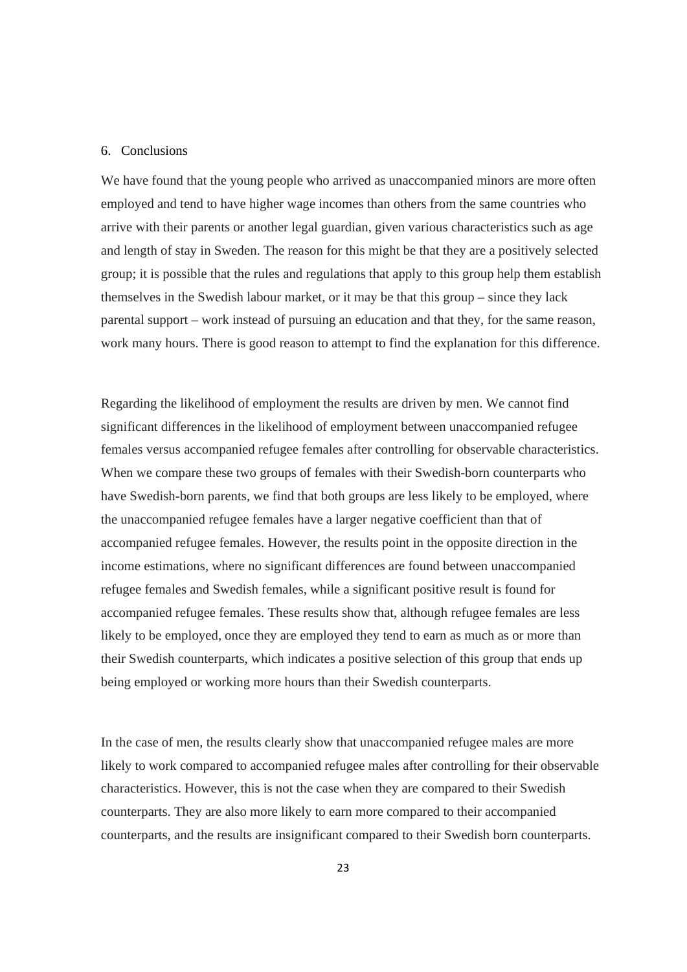#### 6. Conclusions

We have found that the young people who arrived as unaccompanied minors are more often employed and tend to have higher wage incomes than others from the same countries who arrive with their parents or another legal guardian, given various characteristics such as age and length of stay in Sweden. The reason for this might be that they are a positively selected group; it is possible that the rules and regulations that apply to this group help them establish themselves in the Swedish labour market, or it may be that this group – since they lack parental support – work instead of pursuing an education and that they, for the same reason, work many hours. There is good reason to attempt to find the explanation for this difference.

Regarding the likelihood of employment the results are driven by men. We cannot find significant differences in the likelihood of employment between unaccompanied refugee females versus accompanied refugee females after controlling for observable characteristics. When we compare these two groups of females with their Swedish-born counterparts who have Swedish-born parents, we find that both groups are less likely to be employed, where the unaccompanied refugee females have a larger negative coefficient than that of accompanied refugee females. However, the results point in the opposite direction in the income estimations, where no significant differences are found between unaccompanied refugee females and Swedish females, while a significant positive result is found for accompanied refugee females. These results show that, although refugee females are less likely to be employed, once they are employed they tend to earn as much as or more than their Swedish counterparts, which indicates a positive selection of this group that ends up being employed or working more hours than their Swedish counterparts.

In the case of men, the results clearly show that unaccompanied refugee males are more likely to work compared to accompanied refugee males after controlling for their observable characteristics. However, this is not the case when they are compared to their Swedish counterparts. They are also more likely to earn more compared to their accompanied counterparts, and the results are insignificant compared to their Swedish born counterparts.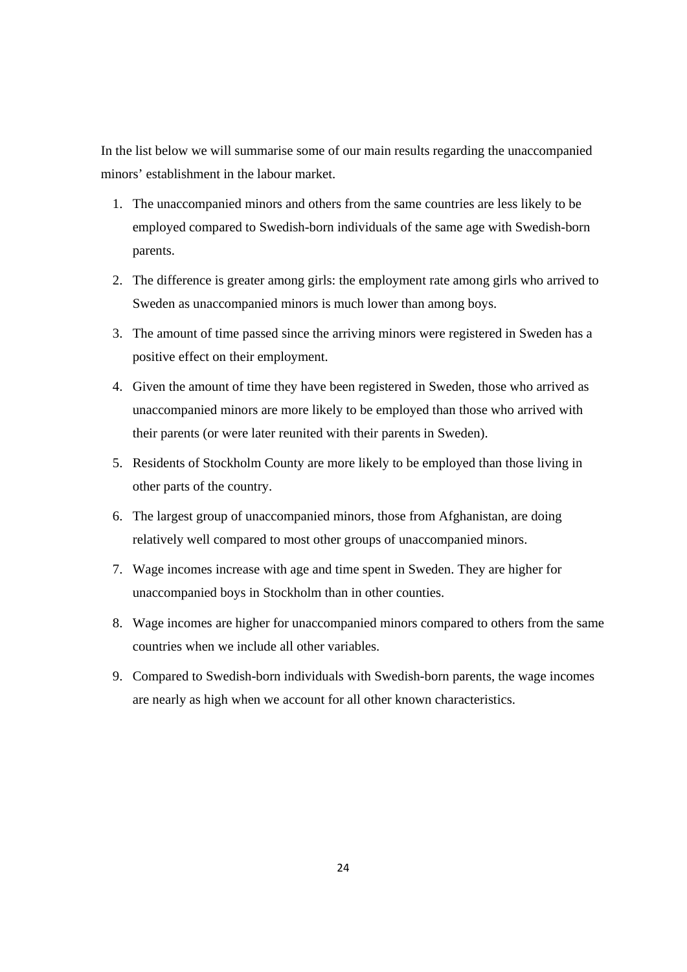In the list below we will summarise some of our main results regarding the unaccompanied minors' establishment in the labour market.

- 1. The unaccompanied minors and others from the same countries are less likely to be employed compared to Swedish-born individuals of the same age with Swedish-born parents.
- 2. The difference is greater among girls: the employment rate among girls who arrived to Sweden as unaccompanied minors is much lower than among boys.
- 3. The amount of time passed since the arriving minors were registered in Sweden has a positive effect on their employment.
- 4. Given the amount of time they have been registered in Sweden, those who arrived as unaccompanied minors are more likely to be employed than those who arrived with their parents (or were later reunited with their parents in Sweden).
- 5. Residents of Stockholm County are more likely to be employed than those living in other parts of the country.
- 6. The largest group of unaccompanied minors, those from Afghanistan, are doing relatively well compared to most other groups of unaccompanied minors.
- 7. Wage incomes increase with age and time spent in Sweden. They are higher for unaccompanied boys in Stockholm than in other counties.
- 8. Wage incomes are higher for unaccompanied minors compared to others from the same countries when we include all other variables.
- 9. Compared to Swedish-born individuals with Swedish-born parents, the wage incomes are nearly as high when we account for all other known characteristics.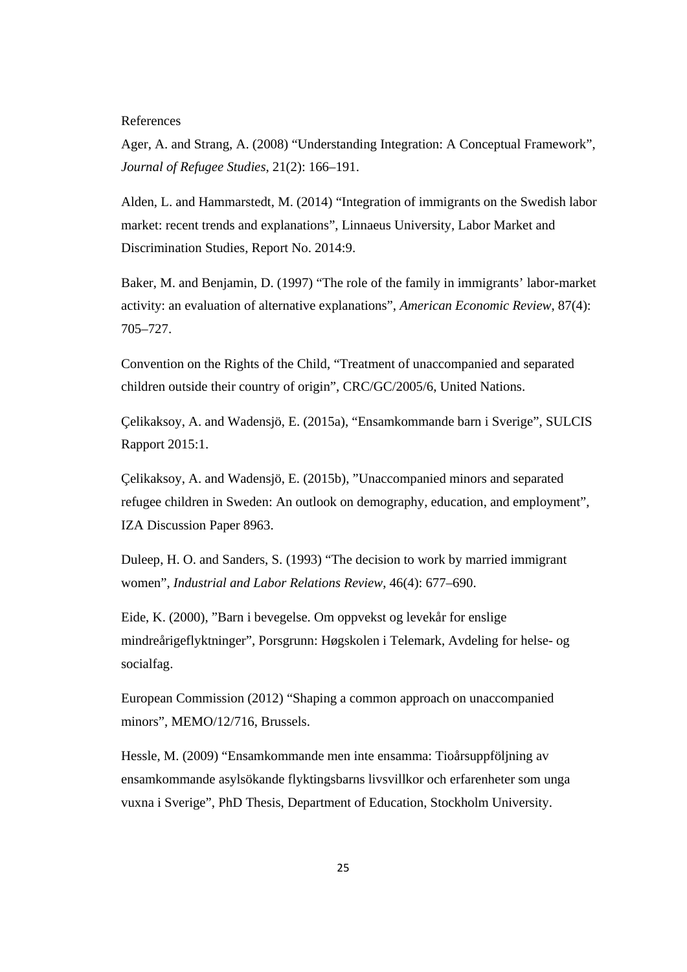References

Ager, A. and Strang, A. (2008) "Understanding Integration: A Conceptual Framework", *Journal of Refugee Studies*, 21(2): 166–191.

Alden, L. and Hammarstedt, M. (2014) "Integration of immigrants on the Swedish labor market: recent trends and explanations", Linnaeus University, Labor Market and Discrimination Studies, Report No. 2014:9.

Baker, M. and Benjamin, D. (1997) "The role of the family in immigrants' labor-market activity: an evaluation of alternative explanations", *American Economic Review*, 87(4): 705–727.

Convention on the Rights of the Child, "Treatment of unaccompanied and separated children outside their country of origin", CRC/GC/2005/6, United Nations.

Çelikaksoy, A. and Wadensjö, E. (2015a), "Ensamkommande barn i Sverige", SULCIS Rapport 2015:1.

Çelikaksoy, A. and Wadensjö, E. (2015b), "Unaccompanied minors and separated refugee children in Sweden: An outlook on demography, education, and employment", IZA Discussion Paper 8963.

Duleep, H. O. and Sanders, S. (1993) "The decision to work by married immigrant women", *Industrial and Labor Relations Review*, 46(4): 677–690.

Eide, K. (2000), "Barn i bevegelse. Om oppvekst og levekår for enslige mindreårigeflyktninger", Porsgrunn: Høgskolen i Telemark, Avdeling for helse- og socialfag.

European Commission (2012) "Shaping a common approach on unaccompanied minors", MEMO/12/716, Brussels.

Hessle, M. (2009) "Ensamkommande men inte ensamma: Tioårsuppföljning av ensamkommande asylsökande flyktingsbarns livsvillkor och erfarenheter som unga vuxna i Sverige", PhD Thesis, Department of Education, Stockholm University.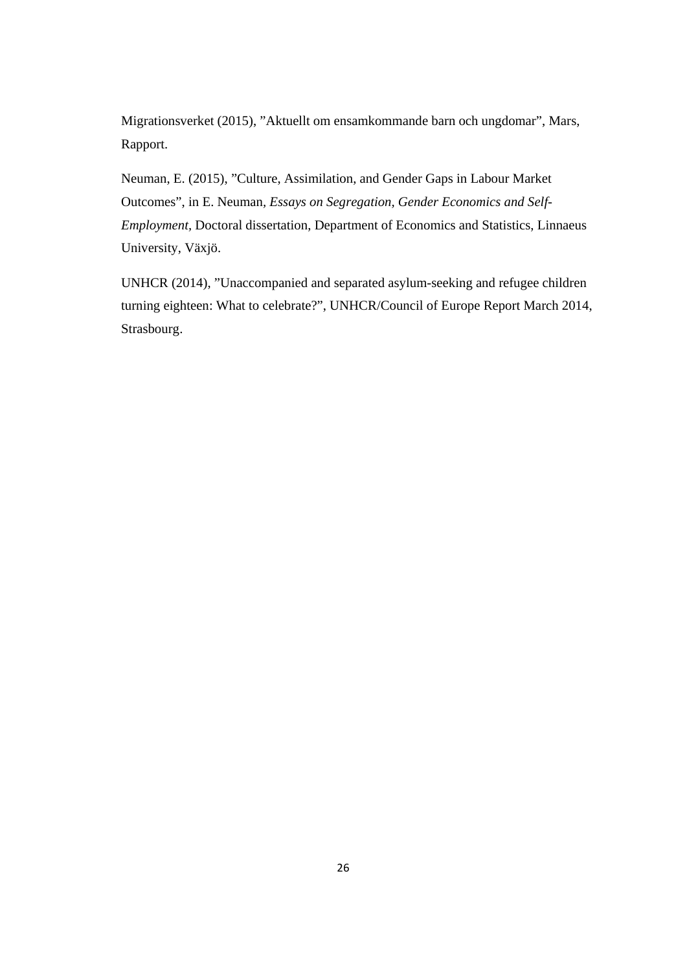Migrationsverket (2015), "Aktuellt om ensamkommande barn och ungdomar", Mars, Rapport.

Neuman, E. (2015), "Culture, Assimilation, and Gender Gaps in Labour Market Outcomes", in E. Neuman*, Essays on Segregation, Gender Economics and Self-Employment,* Doctoral dissertation, Department of Economics and Statistics, Linnaeus University, Växjö.

UNHCR (2014), "Unaccompanied and separated asylum-seeking and refugee children turning eighteen: What to celebrate?", UNHCR/Council of Europe Report March 2014, Strasbourg.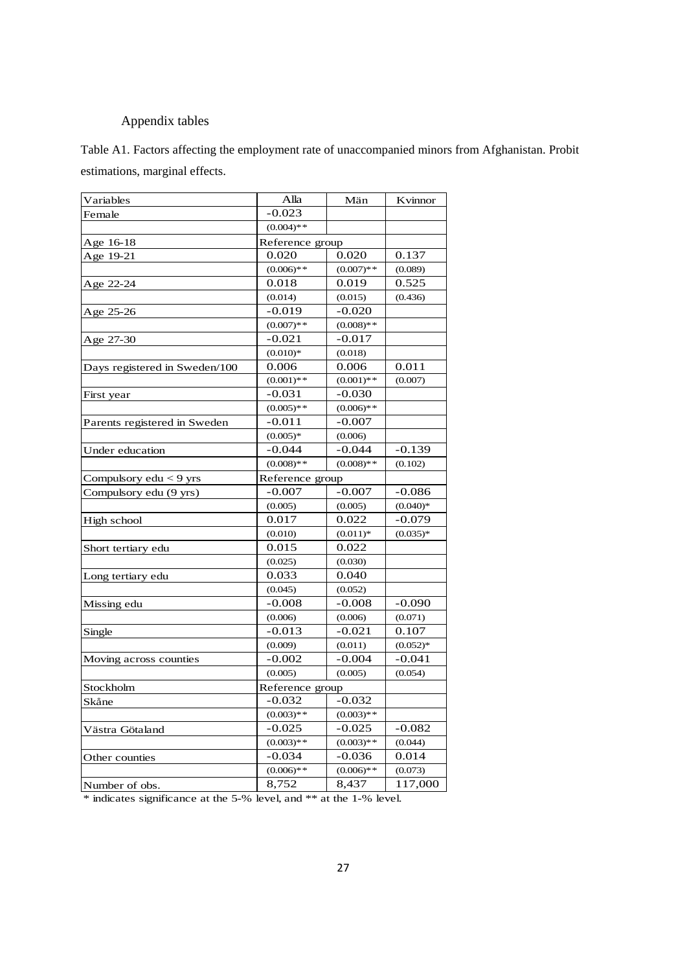### Appendix tables

Table A1. Factors affecting the employment rate of unaccompanied minors from Afghanistan. Probit estimations, marginal effects.

| Variables                     | Alla            | Män          | Kvinnor    |
|-------------------------------|-----------------|--------------|------------|
| Female                        | $-0.023$        |              |            |
|                               | $(0.004)$ **    |              |            |
| Age 16-18                     | Reference group |              |            |
| Age 19-21                     | 0.020           | 0.020        | 0.137      |
|                               | $(0.006)$ **    | $(0.007)$ ** | (0.089)    |
| Age 22-24                     | 0.018           | 0.019        | 0.525      |
|                               | (0.014)         | (0.015)      | (0.436)    |
| Age 25-26                     | $-0.019$        | $-0.020$     |            |
|                               | $(0.007)**$     | $(0.008)**$  |            |
| Age 27-30                     | $-0.021$        | $-0.017$     |            |
|                               | $(0.010)*$      | (0.018)      |            |
| Days registered in Sweden/100 | 0.006           | 0.006        | 0.011      |
|                               | $(0.001)$ **    | $(0.001)$ ** | (0.007)    |
| First year                    | $-0.031$        | $-0.030$     |            |
|                               | $(0.005)**$     | $(0.006)**$  |            |
| Parents registered in Sweden  | $-0.011$        | $-0.007$     |            |
|                               | $(0.005)*$      | (0.006)      |            |
| Under education               | $-0.044$        | $-0.044$     | $-0.139$   |
|                               | $(0.008)$ **    | $(0.008)$ ** | (0.102)    |
| Compulsory edu < 9 yrs        | Reference group |              |            |
| Compulsory edu (9 yrs)        | $-0.007$        | $-0.007$     | $-0.086$   |
|                               | (0.005)         | (0.005)      | $(0.040)*$ |
| High school                   | 0.017           | 0.022        | $-0.079$   |
|                               | (0.010)         | $(0.011)*$   | $(0.035)*$ |
| Short tertiary edu            | 0.015           | 0.022        |            |
|                               | (0.025)         | (0.030)      |            |
| Long tertiary edu             | 0.033           | 0.040        |            |
|                               | (0.045)         | (0.052)      |            |
| Missing edu                   | $-0.008$        | $-0.008$     | $-0.090$   |
|                               | (0.006)         | (0.006)      | (0.071)    |
| Single                        | $-0.013$        | $-0.021$     | 0.107      |
|                               | (0.009)         | (0.011)      | $(0.052)*$ |
| Moving across counties        | $-0.002$        | $-0.004$     | $-0.041$   |
|                               | (0.005)         | (0.005)      | (0.054)    |
| Stockholm                     | Reference group |              |            |
| Skåne                         | $-0.032$        | $-0.032$     |            |
|                               | $(0.003)**$     | $(0.003)**$  |            |
| Västra Götaland               | $-0.025$        | $-0.025$     | $-0.082$   |
|                               | $(0.003)$ **    | $(0.003)**$  | (0.044)    |
| Other counties                | $-0.034$        | $-0.036$     | 0.014      |
|                               | $(0.006)**$     | $(0.006)**$  | (0.073)    |
| Number of obs.                | 8,752           | 8,437        | 117,000    |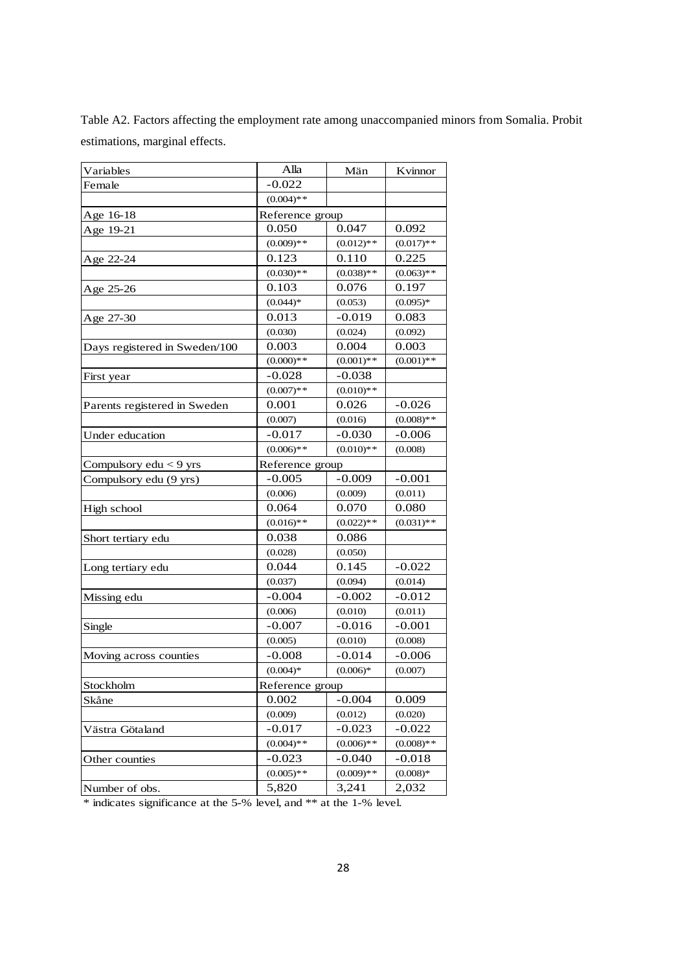| Table A2. Factors affecting the employment rate among unaccompanied minors from Somalia. Probit |  |
|-------------------------------------------------------------------------------------------------|--|
| estimations, marginal effects.                                                                  |  |

| Variables                     | Alla            | Män             | Kvinnor      |
|-------------------------------|-----------------|-----------------|--------------|
| Female                        | $-0.022$        |                 |              |
|                               | $(0.004)$ **    |                 |              |
| Age 16-18                     | Reference group |                 |              |
| Age 19-21                     | 0.050           | 0.047           | 0.092        |
|                               | $(0.009)**$     | $(0.012)$ **    | $(0.017)$ ** |
| Age 22-24                     | 0.123           | 0.110           | 0.225        |
|                               | $(0.030)**$     | $(0.038)$ **    | $(0.063)$ ** |
| Age 25-26                     | 0.103           | 0.076           | 0.197        |
|                               | $(0.044)*$      | (0.053)         | $(0.095)*$   |
| Age 27-30                     | 0.013           | $-0.019$        | 0.083        |
|                               | (0.030)         | (0.024)         | (0.092)      |
| Days registered in Sweden/100 | 0.003           | 0.004           | 0.003        |
|                               | $(0.000)**$     | $(0.001)$ **    | $(0.001)$ ** |
| First year                    | $-0.028$        | $-0.038$        |              |
|                               | $(0.007)$ **    | $(0.010)**$     |              |
| Parents registered in Sweden  | 0.001           | 0.026           | $-0.026$     |
|                               | (0.007)         | (0.016)         | $(0.008)$ ** |
| Under education               | $-0.017$        | $-0.030$        | $-0.006$     |
|                               | $(0.006)**$     | $(0.010)**$     | (0.008)      |
| Compulsory edu < 9 yrs        |                 | Reference group |              |
| Compulsory edu (9 yrs)        | $-0.005$        | $-0.009$        | $-0.001$     |
|                               | (0.006)         | (0.009)         | (0.011)      |
| High school                   | 0.064           | 0.070           | 0.080        |
|                               | $(0.016)$ **    | $(0.022)$ **    | $(0.031)$ ** |
| Short tertiary edu            | 0.038           | 0.086           |              |
|                               | (0.028)         | (0.050)         |              |
| Long tertiary edu             | 0.044           | 0.145           | $-0.022$     |
|                               | (0.037)         | (0.094)         | (0.014)      |
| Missing edu                   | $-0.004$        | $-0.002$        | $-0.012$     |
|                               | (0.006)         | (0.010)         | (0.011)      |
| Single                        | $-0.007$        | $-0.016$        | $-0.001$     |
|                               | (0.005)         | (0.010)         | (0.008)      |
| Moving across counties        | $-0.008$        | $-0.014$        | $-0.006$     |
|                               | $(0.004)*$      | $(0.006)*$      | (0.007)      |
| Stockholm                     | Reference group |                 |              |
| Skåne                         | 0.002           | $-0.004$        | 0.009        |
|                               | (0.009)         | (0.012)         | (0.020)      |
| Västra Götaland               | $-0.017$        | $-0.023$        | $-0.022$     |
|                               | $(0.004)$ **    | $(0.006)**$     | $(0.008)**$  |
| Other counties                | $-0.023$        | $-0.040$        | $-0.018$     |
|                               | $(0.005)**$     | $(0.009)**$     | $(0.008)*$   |
| Number of obs.                | 5,820           | 3,241           | 2,032        |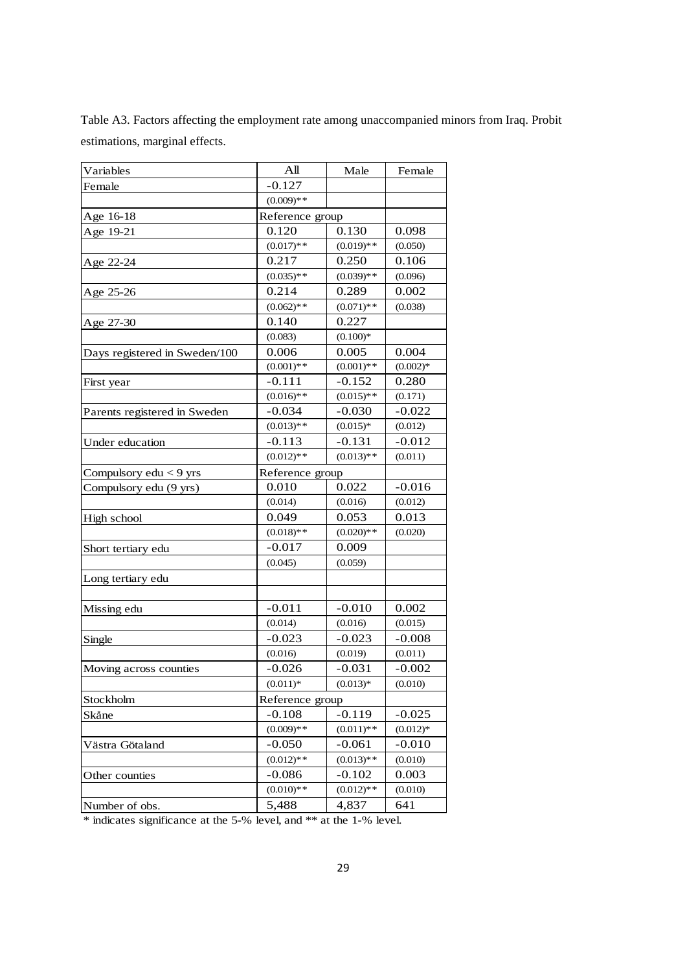| Variables                     | All          | Male            | Female     |  |
|-------------------------------|--------------|-----------------|------------|--|
| Female                        | $-0.127$     |                 |            |  |
|                               | $(0.009)$ ** |                 |            |  |
| Age 16-18                     |              | Reference group |            |  |
| Age 19-21                     | 0.120        | 0.130           | 0.098      |  |
|                               | $(0.017)$ ** | $(0.019)**$     | (0.050)    |  |
| Age 22-24                     | 0.217        | 0.250           | 0.106      |  |
|                               | $(0.035)$ ** | $(0.039)**$     | (0.096)    |  |
| Age 25-26                     | 0.214        | 0.289           | 0.002      |  |
|                               | $(0.062)$ ** | $(0.071)$ **    | (0.038)    |  |
| Age 27-30                     | 0.140        | 0.227           |            |  |
|                               | (0.083)      | $(0.100)*$      |            |  |
| Days registered in Sweden/100 | 0.006        | 0.005           | 0.004      |  |
|                               | $(0.001)$ ** | $(0.001)$ **    | $(0.002)*$ |  |
| First year                    | $-0.111$     | $-0.152$        | 0.280      |  |
|                               | $(0.016)**$  | $(0.015)**$     | (0.171)    |  |
| Parents registered in Sweden  | $-0.034$     | $-0.030$        | $-0.022$   |  |
|                               | $(0.013)**$  | $(0.015)*$      | (0.012)    |  |
| Under education               | $-0.113$     | $-0.131$        | $-0.012$   |  |
|                               | $(0.012)$ ** | $(0.013)**$     | (0.011)    |  |
| Compulsory $edu < 9$ yrs      |              | Reference group |            |  |
| Compulsory edu (9 yrs)        | 0.010        | 0.022           | $-0.016$   |  |
|                               | (0.014)      | (0.016)         | (0.012)    |  |
| High school                   | 0.049        | 0.053           | 0.013      |  |
|                               | $(0.018)$ ** | $(0.020)**$     | (0.020)    |  |
| Short tertiary edu            | $-0.017$     | 0.009           |            |  |
|                               | (0.045)      | (0.059)         |            |  |
| Long tertiary edu             |              |                 |            |  |
|                               |              |                 |            |  |
| Missing edu                   | $-0.011$     | $-0.010$        | 0.002      |  |
|                               | (0.014)      | (0.016)         | (0.015)    |  |
| Single                        | $-0.023$     | $-0.023$        | $-0.008$   |  |
|                               | (0.016)      | (0.019)         | (0.011)    |  |
| Moving across counties        | $-0.026$     | $-0.031$        | $-0.002$   |  |
|                               | $(0.011)*$   | $(0.013)*$      | (0.010)    |  |
| Stockholm                     |              | Reference group |            |  |
| Skåne                         | $-0.108$     | $-0.119$        | $-0.025$   |  |
|                               | $(0.009)**$  | $(0.011)$ **    | $(0.012)*$ |  |
| Västra Götaland               | $-0.050$     | $-0.061$        | $-0.010$   |  |
|                               | $(0.012)$ ** | $(0.013)**$     | (0.010)    |  |
| Other counties                | $-0.086$     | $-0.102$        | 0.003      |  |
|                               | $(0.010)**$  | $(0.012)$ **    | (0.010)    |  |
| Number of obs.                | 5,488        | 4,837           | 641        |  |
|                               |              |                 |            |  |

Table A3. Factors affecting the employment rate among unaccompanied minors from Iraq. Probit estimations, marginal effects.